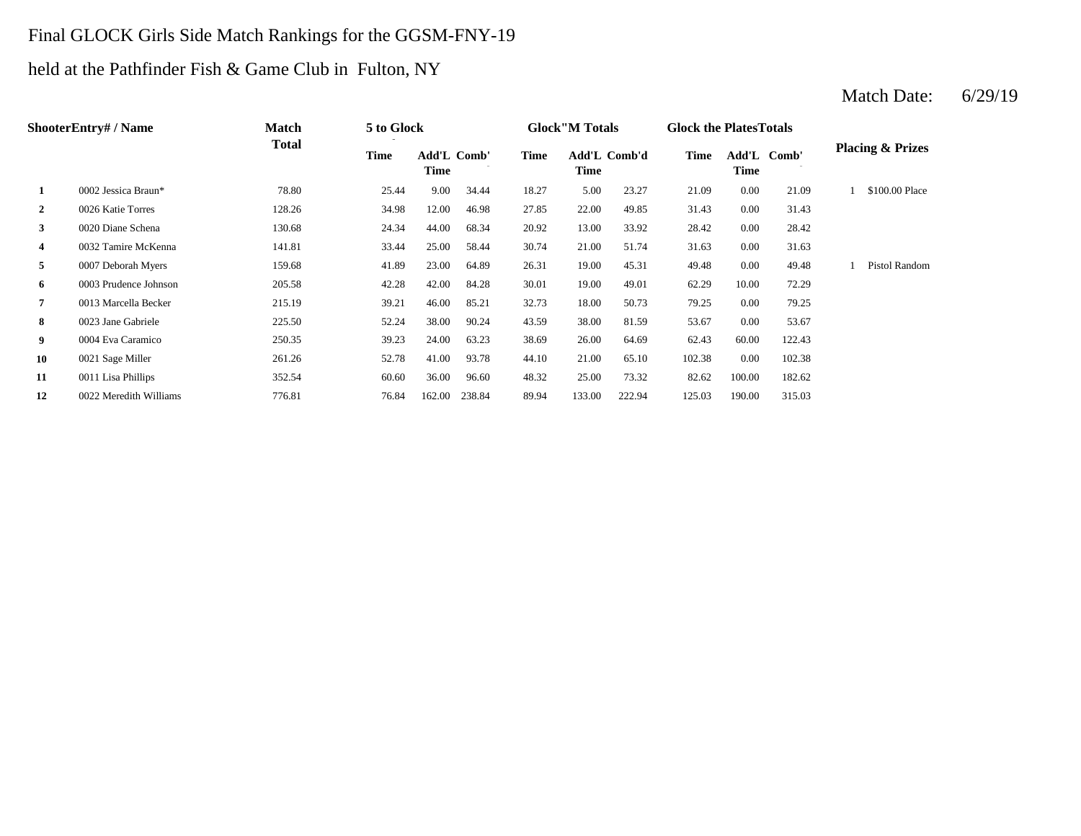## Final GLOCK Girls Side Match Rankings for the GGSM-FNY-19

## held at the Pathfinder Fish & Game Club in Fulton, NY

|    | <b>ShooterEntry#/Name</b> | <b>Match</b> | 5 to Glock |                            |        |       | <b>Glock</b> "M Totals |        | <b>Glock the Plates Totals</b> |                     |        |                             |
|----|---------------------------|--------------|------------|----------------------------|--------|-------|------------------------|--------|--------------------------------|---------------------|--------|-----------------------------|
|    |                           | <b>Total</b> | Time       | <b>Add'L Comb'</b><br>Time |        | Time  | Add'L Comb'd<br>Time   |        | Time                           | Add'L Comb'<br>Time |        | <b>Placing &amp; Prizes</b> |
| 1  | 0002 Jessica Braun*       | 78.80        | 25.44      | 9.00                       | 34.44  | 18.27 | 5.00                   | 23.27  | 21.09                          | 0.00                | 21.09  | \$100.00 Place              |
| 2  | 0026 Katie Torres         | 128.26       | 34.98      | 12.00                      | 46.98  | 27.85 | 22.00                  | 49.85  | 31.43                          | 0.00                | 31.43  |                             |
| 3  | 0020 Diane Schena         | 130.68       | 24.34      | 44.00                      | 68.34  | 20.92 | 13.00                  | 33.92  | 28.42                          | 0.00                | 28.42  |                             |
| 4  | 0032 Tamire McKenna       | 141.81       | 33.44      | 25.00                      | 58.44  | 30.74 | 21.00                  | 51.74  | 31.63                          | 0.00                | 31.63  |                             |
| 5  | 0007 Deborah Myers        | 159.68       | 41.89      | 23.00                      | 64.89  | 26.31 | 19.00                  | 45.31  | 49.48                          | 0.00                | 49.48  | <b>Pistol Random</b>        |
| 6  | 0003 Prudence Johnson     | 205.58       | 42.28      | 42.00                      | 84.28  | 30.01 | 19.00                  | 49.01  | 62.29                          | 10.00               | 72.29  |                             |
| 7  | 0013 Marcella Becker      | 215.19       | 39.21      | 46.00                      | 85.21  | 32.73 | 18.00                  | 50.73  | 79.25                          | 0.00                | 79.25  |                             |
| 8  | 0023 Jane Gabriele        | 225.50       | 52.24      | 38.00                      | 90.24  | 43.59 | 38.00                  | 81.59  | 53.67                          | 0.00                | 53.67  |                             |
| 9  | 0004 Eva Caramico         | 250.35       | 39.23      | 24.00                      | 63.23  | 38.69 | 26.00                  | 64.69  | 62.43                          | 60.00               | 122.43 |                             |
| 10 | 0021 Sage Miller          | 261.26       | 52.78      | 41.00                      | 93.78  | 44.10 | 21.00                  | 65.10  | 102.38                         | 0.00                | 102.38 |                             |
| 11 | 0011 Lisa Phillips        | 352.54       | 60.60      | 36.00                      | 96.60  | 48.32 | 25.00                  | 73.32  | 82.62                          | 100.00              | 182.62 |                             |
| 12 | 0022 Meredith Williams    | 776.81       | 76.84      | 162.00                     | 238.84 | 89.94 | 133.00                 | 222.94 | 125.03                         | 190.00              | 315.03 |                             |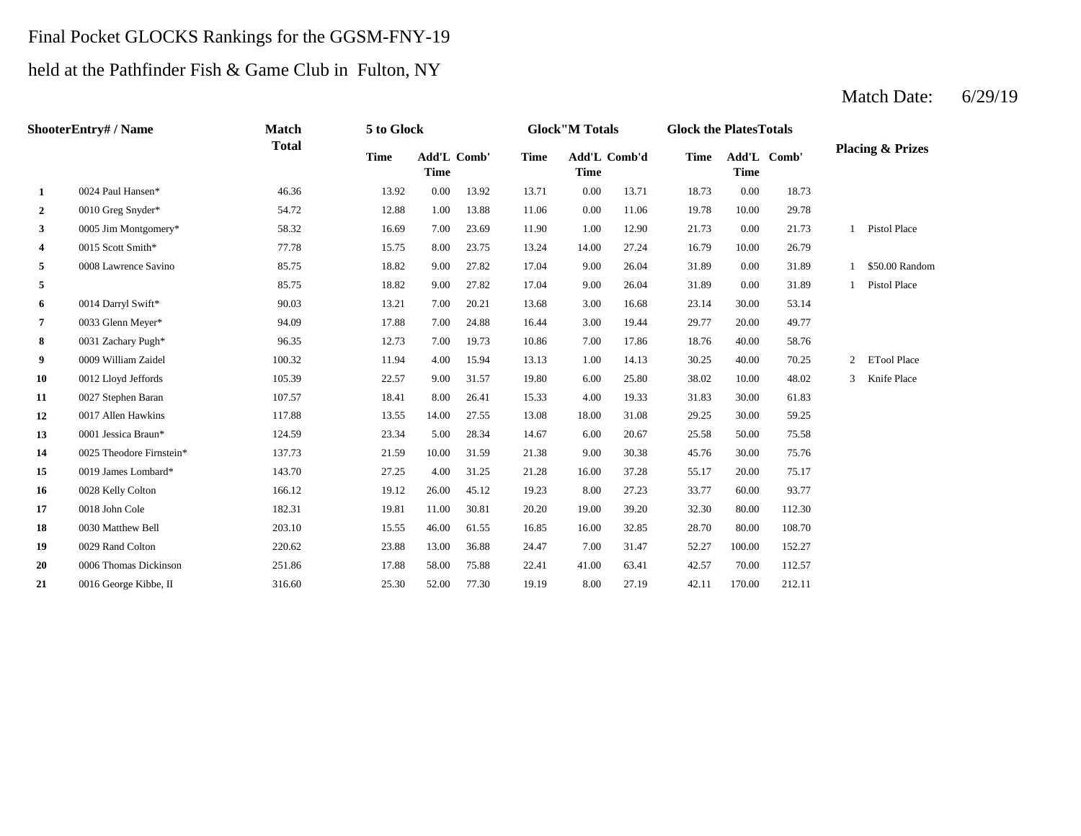## Final Pocket GLOCKS Rankings for the GGSM-FNY-19

## held at the Pathfinder Fish & Game Club in Fulton, NY

|              | <b>ShooterEntry#/Name</b> | <b>Match</b> | 5 to Glock  |                            |       |             | <b>Glock</b> "M Totals      |       | <b>Glock the PlatesTotals</b> |                            |        |   |                             |
|--------------|---------------------------|--------------|-------------|----------------------------|-------|-------------|-----------------------------|-------|-------------------------------|----------------------------|--------|---|-----------------------------|
|              |                           | <b>Total</b> | <b>Time</b> | Add'L Comb'<br><b>Time</b> |       | <b>Time</b> | Add'L Comb'd<br><b>Time</b> |       | <b>Time</b>                   | Add'L Comb'<br><b>Time</b> |        |   | <b>Placing &amp; Prizes</b> |
| 1            | 0024 Paul Hansen*         | 46.36        | 13.92       | 0.00                       | 13.92 | 13.71       | 0.00                        | 13.71 | 18.73                         | 0.00                       | 18.73  |   |                             |
| $\mathbf{2}$ | 0010 Greg Snyder*         | 54.72        | 12.88       | 1.00                       | 13.88 | 11.06       | 0.00                        | 11.06 | 19.78                         | 10.00                      | 29.78  |   |                             |
| 3            | 0005 Jim Montgomery*      | 58.32        | 16.69       | 7.00                       | 23.69 | 11.90       | 1.00                        | 12.90 | 21.73                         | 0.00                       | 21.73  |   | Pistol Place                |
| 4            | 0015 Scott Smith*         | 77.78        | 15.75       | 8.00                       | 23.75 | 13.24       | 14.00                       | 27.24 | 16.79                         | 10.00                      | 26.79  |   |                             |
| 5            | 0008 Lawrence Savino      | 85.75        | 18.82       | 9.00                       | 27.82 | 17.04       | 9.00                        | 26.04 | 31.89                         | 0.00                       | 31.89  |   | \$50.00 Random              |
| 5            |                           | 85.75        | 18.82       | 9.00                       | 27.82 | 17.04       | 9.00                        | 26.04 | 31.89                         | 0.00                       | 31.89  |   | Pistol Place                |
| 6            | 0014 Darryl Swift*        | 90.03        | 13.21       | 7.00                       | 20.21 | 13.68       | 3.00                        | 16.68 | 23.14                         | 30.00                      | 53.14  |   |                             |
| 7            | 0033 Glenn Meyer*         | 94.09        | 17.88       | 7.00                       | 24.88 | 16.44       | 3.00                        | 19.44 | 29.77                         | 20.00                      | 49.77  |   |                             |
| 8            | 0031 Zachary Pugh*        | 96.35        | 12.73       | 7.00                       | 19.73 | 10.86       | 7.00                        | 17.86 | 18.76                         | 40.00                      | 58.76  |   |                             |
| 9.           | 0009 William Zaidel       | 100.32       | 11.94       | 4.00                       | 15.94 | 13.13       | 1.00                        | 14.13 | 30.25                         | 40.00                      | 70.25  | 2 | <b>ETool Place</b>          |
| 10           | 0012 Lloyd Jeffords       | 105.39       | 22.57       | 9.00                       | 31.57 | 19.80       | 6.00                        | 25.80 | 38.02                         | 10.00                      | 48.02  | 3 | Knife Place                 |
| 11           | 0027 Stephen Baran        | 107.57       | 18.41       | 8.00                       | 26.41 | 15.33       | 4.00                        | 19.33 | 31.83                         | 30.00                      | 61.83  |   |                             |
| 12           | 0017 Allen Hawkins        | 117.88       | 13.55       | 14.00                      | 27.55 | 13.08       | 18.00                       | 31.08 | 29.25                         | 30.00                      | 59.25  |   |                             |
| 13           | 0001 Jessica Braun*       | 124.59       | 23.34       | 5.00                       | 28.34 | 14.67       | 6.00                        | 20.67 | 25.58                         | 50.00                      | 75.58  |   |                             |
| 14           | 0025 Theodore Firnstein*  | 137.73       | 21.59       | 10.00                      | 31.59 | 21.38       | 9.00                        | 30.38 | 45.76                         | 30.00                      | 75.76  |   |                             |
| 15           | 0019 James Lombard*       | 143.70       | 27.25       | 4.00                       | 31.25 | 21.28       | 16.00                       | 37.28 | 55.17                         | 20.00                      | 75.17  |   |                             |
| 16           | 0028 Kelly Colton         | 166.12       | 19.12       | 26.00                      | 45.12 | 19.23       | 8.00                        | 27.23 | 33.77                         | 60.00                      | 93.77  |   |                             |
| 17           | 0018 John Cole            | 182.31       | 19.81       | 11.00                      | 30.81 | 20.20       | 19.00                       | 39.20 | 32.30                         | 80.00                      | 112.30 |   |                             |
| 18           | 0030 Matthew Bell         | 203.10       | 15.55       | 46.00                      | 61.55 | 16.85       | 16.00                       | 32.85 | 28.70                         | 80.00                      | 108.70 |   |                             |
| 19           | 0029 Rand Colton          | 220.62       | 23.88       | 13.00                      | 36.88 | 24.47       | 7.00                        | 31.47 | 52.27                         | 100.00                     | 152.27 |   |                             |
| 20           | 0006 Thomas Dickinson     | 251.86       | 17.88       | 58.00                      | 75.88 | 22.41       | 41.00                       | 63.41 | 42.57                         | 70.00                      | 112.57 |   |                             |
| 21           | 0016 George Kibbe, II     | 316.60       | 25.30       | 52.00                      | 77.30 | 19.19       | 8.00                        | 27.19 | 42.11                         | 170.00                     | 212.11 |   |                             |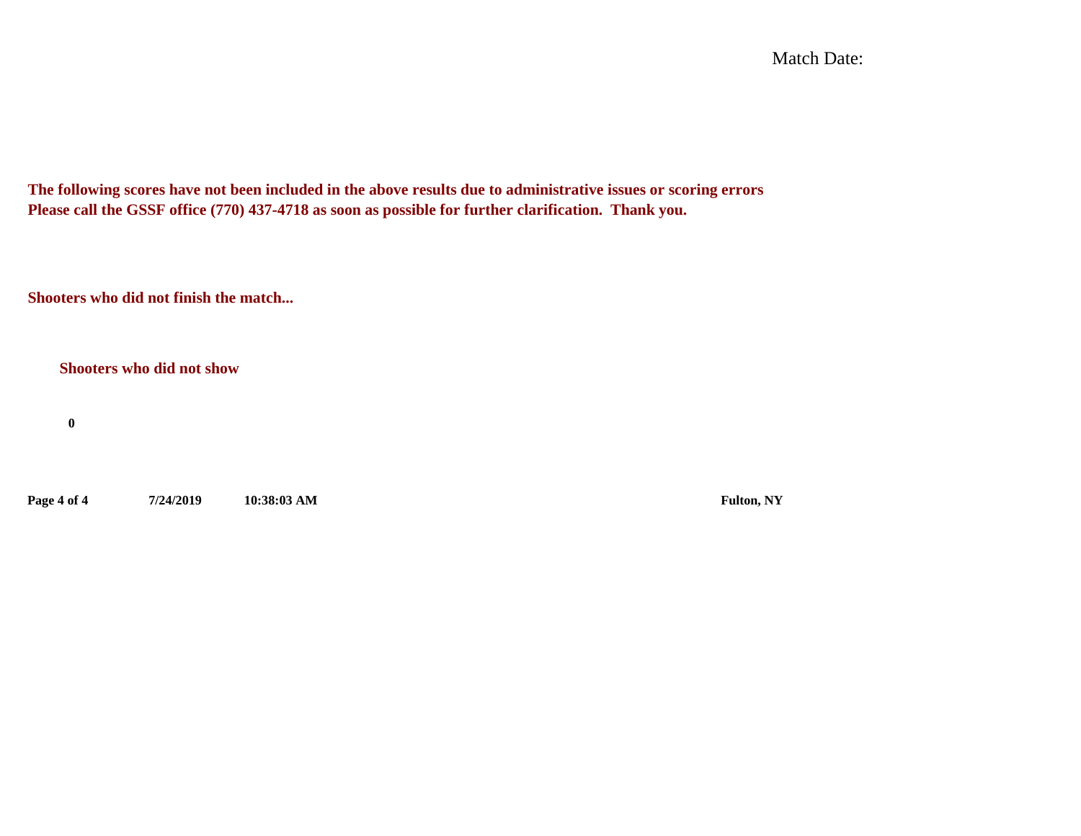Match Date:

**The following scores have not been included in the above results due to administrative issues or scoring errors Please call the GSSF office (770) 437-4718 as soon as possible for further clarification. Thank you.**

**Shooters who did not finish the match...**

**Shooters who did not show**

**0**

**Page 4 of 4 7/24/2019 10:38:03 AM Fulton, NY**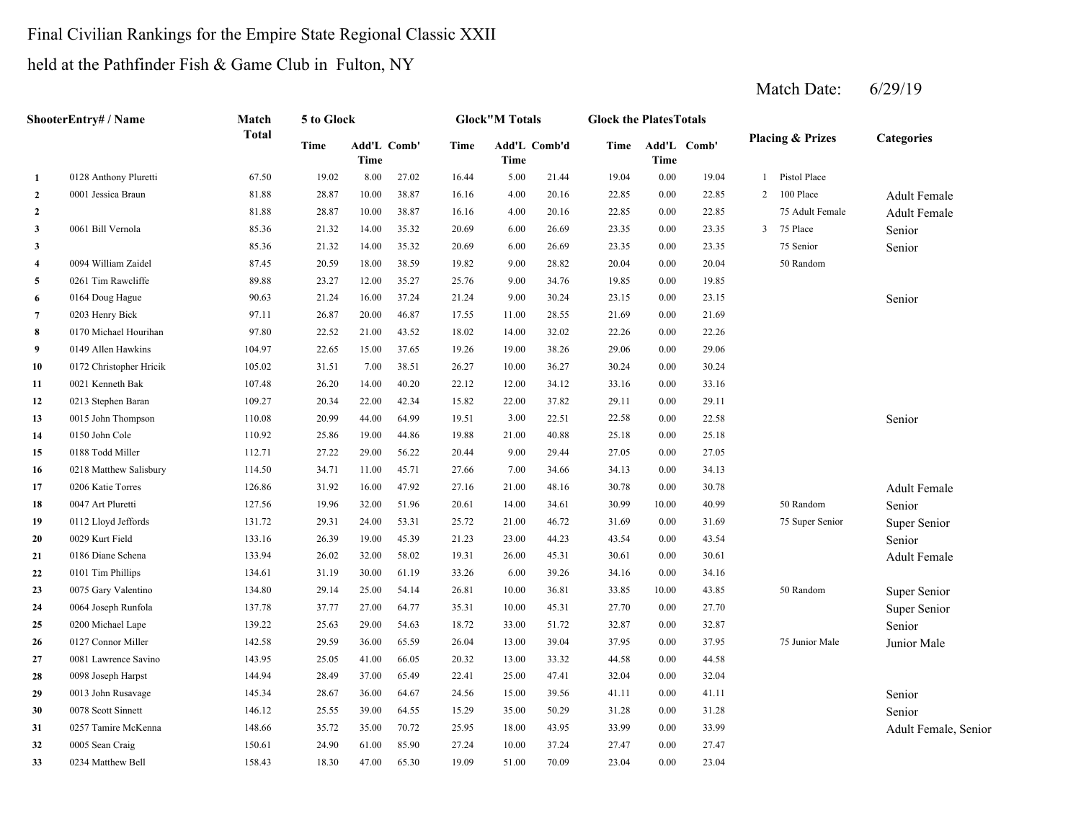## Final Civilian Rankings for the Empire State Regional Classic XXII

## held at the Pathfinder Fish & Game Club in Fulton, NY

|                | ShooterEntry# / Name    | Match        | 5 to Glock |                     |       |       | <b>Glock</b> "M Totals |              | <b>Glock the Plates Totals</b> |          |             |                |                             |                      |
|----------------|-------------------------|--------------|------------|---------------------|-------|-------|------------------------|--------------|--------------------------------|----------|-------------|----------------|-----------------------------|----------------------|
|                |                         | <b>Total</b> | Time       | Add'L Comb'<br>Time |       | Time  | Time                   | Add'L Comb'd | Time                           | Time     | Add'L Comb' |                | <b>Placing &amp; Prizes</b> | <b>Categories</b>    |
| 1              | 0128 Anthony Pluretti   | 67.50        | 19.02      | 8.00                | 27.02 | 16.44 | 5.00                   | 21.44        | 19.04                          | 0.00     | 19.04       | $\mathbf{1}$   | Pistol Place                |                      |
| $\overline{2}$ | 0001 Jessica Braun      | 81.88        | 28.87      | 10.00               | 38.87 | 16.16 | 4.00                   | 20.16        | 22.85                          | 0.00     | 22.85       | $\overline{2}$ | 100 Place                   | <b>Adult Female</b>  |
| $\mathbf{2}$   |                         | 81.88        | 28.87      | 10.00               | 38.87 | 16.16 | 4.00                   | 20.16        | 22.85                          | 0.00     | 22.85       |                | 75 Adult Female             | <b>Adult Female</b>  |
| 3              | 0061 Bill Vernola       | 85.36        | 21.32      | 14.00               | 35.32 | 20.69 | 6.00                   | 26.69        | 23.35                          | 0.00     | 23.35       | $\overline{3}$ | 75 Place                    | Senior               |
| 3              |                         | 85.36        | 21.32      | 14.00               | 35.32 | 20.69 | 6.00                   | 26.69        | 23.35                          | 0.00     | 23.35       |                | 75 Senior                   | Senior               |
| $\overline{4}$ | 0094 William Zaidel     | 87.45        | 20.59      | 18.00               | 38.59 | 19.82 | 9.00                   | 28.82        | 20.04                          | 0.00     | 20.04       |                | 50 Random                   |                      |
| 5              | 0261 Tim Rawcliffe      | 89.88        | 23.27      | 12.00               | 35.27 | 25.76 | 9.00                   | 34.76        | 19.85                          | $0.00\,$ | 19.85       |                |                             |                      |
| 6              | 0164 Doug Hague         | 90.63        | 21.24      | 16.00               | 37.24 | 21.24 | 9.00                   | 30.24        | 23.15                          | 0.00     | 23.15       |                |                             | Senior               |
| 7              | 0203 Henry Bick         | 97.11        | 26.87      | 20.00               | 46.87 | 17.55 | 11.00                  | 28.55        | 21.69                          | 0.00     | 21.69       |                |                             |                      |
| 8              | 0170 Michael Hourihan   | 97.80        | 22.52      | 21.00               | 43.52 | 18.02 | 14.00                  | 32.02        | 22.26                          | 0.00     | 22.26       |                |                             |                      |
| 9              | 0149 Allen Hawkins      | 104.97       | 22.65      | 15.00               | 37.65 | 19.26 | 19.00                  | 38.26        | 29.06                          | 0.00     | 29.06       |                |                             |                      |
| 10             | 0172 Christopher Hricik | 105.02       | 31.51      | 7.00                | 38.51 | 26.27 | 10.00                  | 36.27        | 30.24                          | 0.00     | 30.24       |                |                             |                      |
| 11             | 0021 Kenneth Bak        | 107.48       | 26.20      | 14.00               | 40.20 | 22.12 | 12.00                  | 34.12        | 33.16                          | 0.00     | 33.16       |                |                             |                      |
| 12             | 0213 Stephen Baran      | 109.27       | 20.34      | 22.00               | 42.34 | 15.82 | 22.00                  | 37.82        | 29.11                          | 0.00     | 29.11       |                |                             |                      |
| 13             | 0015 John Thompson      | 110.08       | 20.99      | 44.00               | 64.99 | 19.51 | 3.00                   | 22.51        | 22.58                          | 0.00     | 22.58       |                |                             | Senior               |
| 14             | 0150 John Cole          | 110.92       | 25.86      | 19.00               | 44.86 | 19.88 | 21.00                  | 40.88        | 25.18                          | 0.00     | 25.18       |                |                             |                      |
| 15             | 0188 Todd Miller        | 112.71       | 27.22      | 29.00               | 56.22 | 20.44 | 9.00                   | 29.44        | 27.05                          | 0.00     | 27.05       |                |                             |                      |
| 16             | 0218 Matthew Salisbury  | 114.50       | 34.71      | 11.00               | 45.71 | 27.66 | 7.00                   | 34.66        | 34.13                          | 0.00     | 34.13       |                |                             |                      |
| 17             | 0206 Katie Torres       | 126.86       | 31.92      | 16.00               | 47.92 | 27.16 | 21.00                  | 48.16        | 30.78                          | 0.00     | 30.78       |                |                             | <b>Adult Female</b>  |
| 18             | 0047 Art Pluretti       | 127.56       | 19.96      | 32.00               | 51.96 | 20.61 | 14.00                  | 34.61        | 30.99                          | 10.00    | 40.99       |                | 50 Random                   | Senior               |
| 19             | 0112 Lloyd Jeffords     | 131.72       | 29.31      | 24.00               | 53.31 | 25.72 | 21.00                  | 46.72        | 31.69                          | 0.00     | 31.69       |                | 75 Super Senior             | Super Senior         |
| 20             | 0029 Kurt Field         | 133.16       | 26.39      | 19.00               | 45.39 | 21.23 | 23.00                  | 44.23        | 43.54                          | 0.00     | 43.54       |                |                             | Senior               |
| 21             | 0186 Diane Schena       | 133.94       | 26.02      | 32.00               | 58.02 | 19.31 | 26.00                  | 45.31        | 30.61                          | 0.00     | 30.61       |                |                             | <b>Adult Female</b>  |
| 22             | 0101 Tim Phillips       | 134.61       | 31.19      | 30.00               | 61.19 | 33.26 | 6.00                   | 39.26        | 34.16                          | 0.00     | 34.16       |                |                             |                      |
| 23             | 0075 Gary Valentino     | 134.80       | 29.14      | 25.00               | 54.14 | 26.81 | 10.00                  | 36.81        | 33.85                          | 10.00    | 43.85       |                | 50 Random                   | Super Senior         |
| 24             | 0064 Joseph Runfola     | 137.78       | 37.77      | 27.00               | 64.77 | 35.31 | 10.00                  | 45.31        | 27.70                          | 0.00     | 27.70       |                |                             | Super Senior         |
| 25             | 0200 Michael Lape       | 139.22       | 25.63      | 29.00               | 54.63 | 18.72 | 33.00                  | 51.72        | 32.87                          | 0.00     | 32.87       |                |                             | Senior               |
| 26             | 0127 Connor Miller      | 142.58       | 29.59      | 36.00               | 65.59 | 26.04 | 13.00                  | 39.04        | 37.95                          | 0.00     | 37.95       |                | 75 Junior Male              | Junior Male          |
| 27             | 0081 Lawrence Savino    | 143.95       | 25.05      | 41.00               | 66.05 | 20.32 | 13.00                  | 33.32        | 44.58                          | 0.00     | 44.58       |                |                             |                      |
| 28             | 0098 Joseph Harpst      | 144.94       | 28.49      | 37.00               | 65.49 | 22.41 | 25.00                  | 47.41        | 32.04                          | 0.00     | 32.04       |                |                             |                      |
| 29             | 0013 John Rusavage      | 145.34       | 28.67      | 36.00               | 64.67 | 24.56 | 15.00                  | 39.56        | 41.11                          | 0.00     | 41.11       |                |                             | Senior               |
| 30             | 0078 Scott Sinnett      | 146.12       | 25.55      | 39.00               | 64.55 | 15.29 | 35.00                  | 50.29        | 31.28                          | 0.00     | 31.28       |                |                             | Senior               |
| 31             | 0257 Tamire McKenna     | 148.66       | 35.72      | 35.00               | 70.72 | 25.95 | 18.00                  | 43.95        | 33.99                          | 0.00     | 33.99       |                |                             | Adult Female, Senior |
| 32             | 0005 Sean Craig         | 150.61       | 24.90      | 61.00               | 85.90 | 27.24 | 10.00                  | 37.24        | 27.47                          | 0.00     | 27.47       |                |                             |                      |
| 33             | 0234 Matthew Bell       | 158.43       | 18.30      | 47.00               | 65.30 | 19.09 | 51.00                  | 70.09        | 23.04                          | 0.00     | 23.04       |                |                             |                      |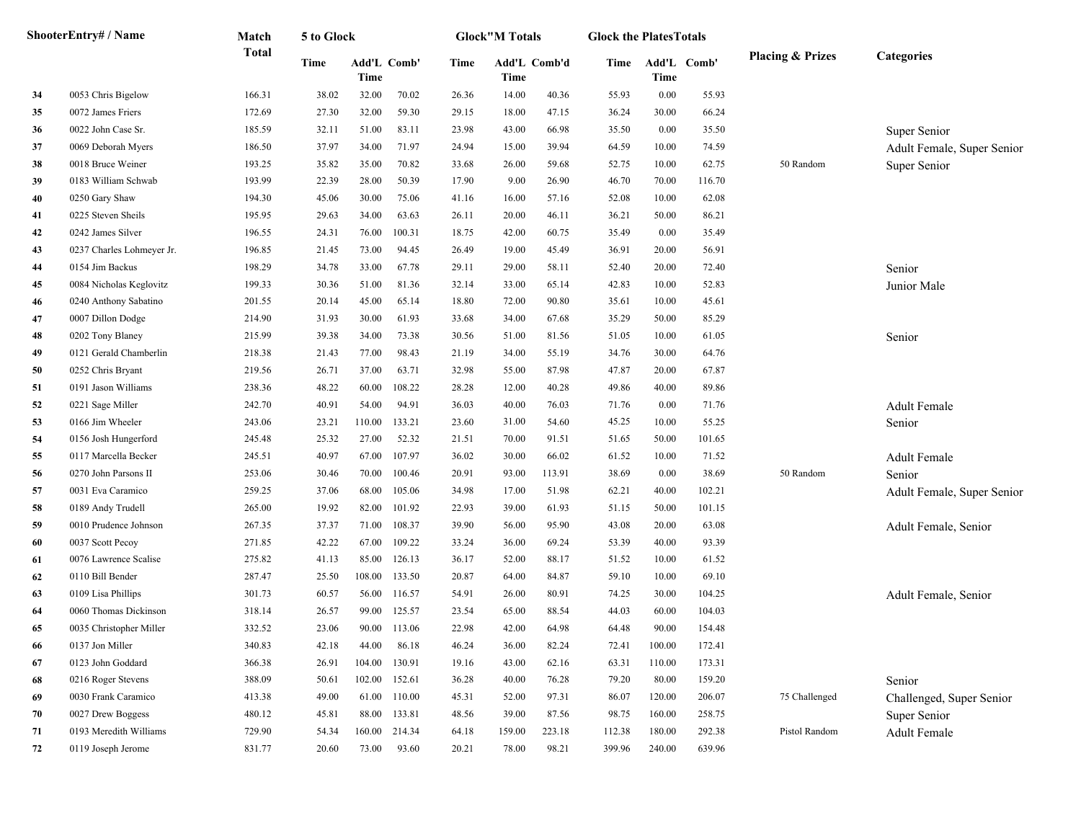|    | ShooterEntry# / Name      | Match        | 5 to Glock |        |             |       | <b>Glock</b> "M Totals |              | <b>Glock the PlatesTotals</b> |        |             |                             |                            |
|----|---------------------------|--------------|------------|--------|-------------|-------|------------------------|--------------|-------------------------------|--------|-------------|-----------------------------|----------------------------|
|    |                           | <b>Total</b> | Time       | Time   | Add'L Comb' | Time  | Time                   | Add'L Comb'd | Time                          | Time   | Add'L Comb' | <b>Placing &amp; Prizes</b> | <b>Categories</b>          |
| 34 | 0053 Chris Bigelow        | 166.31       | 38.02      | 32.00  | 70.02       | 26.36 | 14.00                  | 40.36        | 55.93                         | 0.00   | 55.93       |                             |                            |
| 35 | 0072 James Friers         | 172.69       | 27.30      | 32.00  | 59.30       | 29.15 | 18.00                  | 47.15        | 36.24                         | 30.00  | 66.24       |                             |                            |
| 36 | 0022 John Case Sr.        | 185.59       | 32.11      | 51.00  | 83.11       | 23.98 | 43.00                  | 66.98        | 35.50                         | 0.00   | 35.50       |                             | Super Senior               |
| 37 | 0069 Deborah Myers        | 186.50       | 37.97      | 34.00  | 71.97       | 24.94 | 15.00                  | 39.94        | 64.59                         | 10.00  | 74.59       |                             | Adult Female, Super Senior |
| 38 | 0018 Bruce Weiner         | 193.25       | 35.82      | 35.00  | 70.82       | 33.68 | 26.00                  | 59.68        | 52.75                         | 10.00  | 62.75       | 50 Random                   | Super Senior               |
| 39 | 0183 William Schwab       | 193.99       | 22.39      | 28.00  | 50.39       | 17.90 | 9.00                   | 26.90        | 46.70                         | 70.00  | 116.70      |                             |                            |
| 40 | 0250 Gary Shaw            | 194.30       | 45.06      | 30.00  | 75.06       | 41.16 | 16.00                  | 57.16        | 52.08                         | 10.00  | 62.08       |                             |                            |
| 41 | 0225 Steven Sheils        | 195.95       | 29.63      | 34.00  | 63.63       | 26.11 | 20.00                  | 46.11        | 36.21                         | 50.00  | 86.21       |                             |                            |
| 42 | 0242 James Silver         | 196.55       | 24.31      | 76.00  | 100.31      | 18.75 | 42.00                  | 60.75        | 35.49                         | 0.00   | 35.49       |                             |                            |
| 43 | 0237 Charles Lohmeyer Jr. | 196.85       | 21.45      | 73.00  | 94.45       | 26.49 | 19.00                  | 45.49        | 36.91                         | 20.00  | 56.91       |                             |                            |
| 44 | 0154 Jim Backus           | 198.29       | 34.78      | 33.00  | 67.78       | 29.11 | 29.00                  | 58.11        | 52.40                         | 20.00  | 72.40       |                             | Senior                     |
| 45 | 0084 Nicholas Keglovitz   | 199.33       | 30.36      | 51.00  | 81.36       | 32.14 | 33.00                  | 65.14        | 42.83                         | 10.00  | 52.83       |                             | Junior Male                |
| 46 | 0240 Anthony Sabatino     | 201.55       | 20.14      | 45.00  | 65.14       | 18.80 | 72.00                  | 90.80        | 35.61                         | 10.00  | 45.61       |                             |                            |
| 47 | 0007 Dillon Dodge         | 214.90       | 31.93      | 30.00  | 61.93       | 33.68 | 34.00                  | 67.68        | 35.29                         | 50.00  | 85.29       |                             |                            |
| 48 | 0202 Tony Blaney          | 215.99       | 39.38      | 34.00  | 73.38       | 30.56 | 51.00                  | 81.56        | 51.05                         | 10.00  | 61.05       |                             | Senior                     |
| 49 | 0121 Gerald Chamberlin    | 218.38       | 21.43      | 77.00  | 98.43       | 21.19 | 34.00                  | 55.19        | 34.76                         | 30.00  | 64.76       |                             |                            |
| 50 | 0252 Chris Bryant         | 219.56       | 26.71      | 37.00  | 63.71       | 32.98 | 55.00                  | 87.98        | 47.87                         | 20.00  | 67.87       |                             |                            |
| 51 | 0191 Jason Williams       | 238.36       | 48.22      | 60.00  | 108.22      | 28.28 | 12.00                  | 40.28        | 49.86                         | 40.00  | 89.86       |                             |                            |
| 52 | 0221 Sage Miller          | 242.70       | 40.91      | 54.00  | 94.91       | 36.03 | 40.00                  | 76.03        | 71.76                         | 0.00   | 71.76       |                             | Adult Female               |
| 53 | 0166 Jim Wheeler          | 243.06       | 23.21      | 110.00 | 133.21      | 23.60 | 31.00                  | 54.60        | 45.25                         | 10.00  | 55.25       |                             | Senior                     |
| 54 | 0156 Josh Hungerford      | 245.48       | 25.32      | 27.00  | 52.32       | 21.51 | 70.00                  | 91.51        | 51.65                         | 50.00  | 101.65      |                             |                            |
| 55 | 0117 Marcella Becker      | 245.51       | 40.97      | 67.00  | 107.97      | 36.02 | 30.00                  | 66.02        | 61.52                         | 10.00  | 71.52       |                             | Adult Female               |
| 56 | 0270 John Parsons II      | 253.06       | 30.46      | 70.00  | 100.46      | 20.91 | 93.00                  | 113.91       | 38.69                         | 0.00   | 38.69       | 50 Random                   | Senior                     |
| 57 | 0031 Eva Caramico         | 259.25       | 37.06      | 68.00  | 105.06      | 34.98 | 17.00                  | 51.98        | 62.21                         | 40.00  | 102.21      |                             | Adult Female, Super Senior |
| 58 | 0189 Andy Trudell         | 265.00       | 19.92      | 82.00  | 101.92      | 22.93 | 39.00                  | 61.93        | 51.15                         | 50.00  | 101.15      |                             |                            |
| 59 | 0010 Prudence Johnson     | 267.35       | 37.37      | 71.00  | 108.37      | 39.90 | 56.00                  | 95.90        | 43.08                         | 20.00  | 63.08       |                             | Adult Female, Senior       |
| 60 | 0037 Scott Pecoy          | 271.85       | 42.22      | 67.00  | 109.22      | 33.24 | 36.00                  | 69.24        | 53.39                         | 40.00  | 93.39       |                             |                            |
| 61 | 0076 Lawrence Scalise     | 275.82       | 41.13      | 85.00  | 126.13      | 36.17 | 52.00                  | 88.17        | 51.52                         | 10.00  | 61.52       |                             |                            |
| 62 | 0110 Bill Bender          | 287.47       | 25.50      | 108.00 | 133.50      | 20.87 | 64.00                  | 84.87        | 59.10                         | 10.00  | 69.10       |                             |                            |
| 63 | 0109 Lisa Phillips        | 301.73       | 60.57      | 56.00  | 116.57      | 54.91 | 26.00                  | 80.91        | 74.25                         | 30.00  | 104.25      |                             | Adult Female, Senior       |
| 64 | 0060 Thomas Dickinson     | 318.14       | 26.57      | 99.00  | 125.57      | 23.54 | 65.00                  | 88.54        | 44.03                         | 60.00  | 104.03      |                             |                            |
| 65 | 0035 Christopher Miller   | 332.52       | 23.06      | 90.00  | 113.06      | 22.98 | 42.00                  | 64.98        | 64.48                         | 90.00  | 154.48      |                             |                            |
| 66 | 0137 Jon Miller           | 340.83       | 42.18      | 44.00  | 86.18       | 46.24 | 36.00                  | 82.24        | 72.41                         | 100.00 | 172.41      |                             |                            |
| 67 | 0123 John Goddard         | 366.38       | 26.91      | 104.00 | 130.91      | 19.16 | 43.00                  | 62.16        | 63.31                         | 110.00 | 173.31      |                             |                            |
| 68 | 0216 Roger Stevens        | 388.09       | 50.61      | 102.00 | 152.61      | 36.28 | 40.00                  | 76.28        | 79.20                         | 80.00  | 159.20      |                             | Senior                     |
| 69 | 0030 Frank Caramico       | 413.38       | 49.00      | 61.00  | 110.00      | 45.31 | 52.00                  | 97.31        | 86.07                         | 120.00 | 206.07      | 75 Challenged               | Challenged, Super Senior   |
| 70 | 0027 Drew Boggess         | 480.12       | 45.81      | 88.00  | 133.81      | 48.56 | 39.00                  | 87.56        | 98.75                         | 160.00 | 258.75      |                             | Super Senior               |
| 71 | 0193 Meredith Williams    | 729.90       | 54.34      | 160.00 | 214.34      | 64.18 | 159.00                 | 223.18       | 112.38                        | 180.00 | 292.38      | Pistol Random               | Adult Female               |
| 72 | 0119 Joseph Jerome        | 831.77       | 20.60      | 73.00  | 93.60       | 20.21 | 78.00                  | 98.21        | 399.96                        | 240.00 | 639.96      |                             |                            |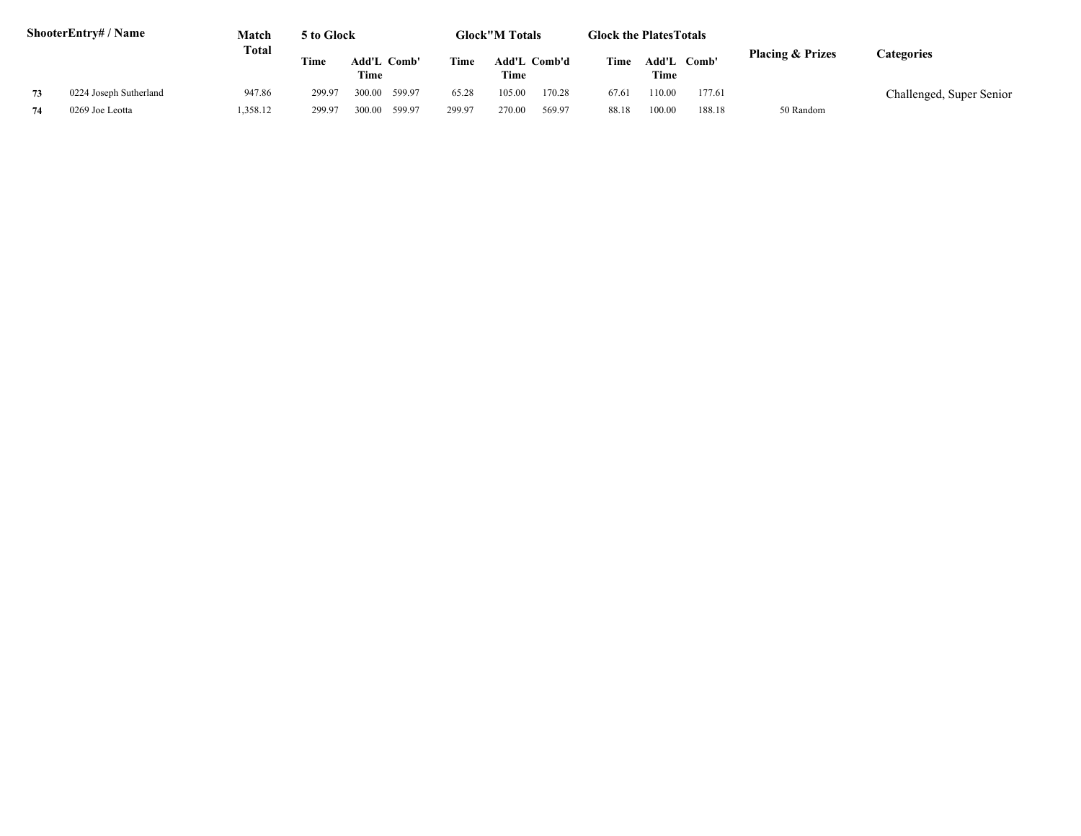|    | <b>ShooterEntry#/Name</b> | Match   | 5 to Glock |                     |        |        | <b>Glock</b> "M Totals      |        | <b>Glock the Plates Totals</b> |                     |        |                             |                          |
|----|---------------------------|---------|------------|---------------------|--------|--------|-----------------------------|--------|--------------------------------|---------------------|--------|-----------------------------|--------------------------|
|    |                           | Total   | Time       | Add'L Comb'<br>Time |        | Time   | <b>Add'L Comb'd</b><br>Time |        | Time                           | Add'L Comb'<br>Time |        | <b>Placing &amp; Prizes</b> | <b>Categories</b>        |
| 73 | 0224 Joseph Sutherland    | 947.86  | 299.97     | 300.00              | 599.97 | 65.28  | 105.00                      | 170.28 | 67.61                          | 10.00               | 177.61 |                             | Challenged, Super Senior |
|    | 0269 Joe Leotta           | ,358.12 | 299.97     | 300.00              | 599.97 | 299.97 | 270.00                      | 569.97 | 88.18                          | 100.00              | 188.18 | 50 Random                   |                          |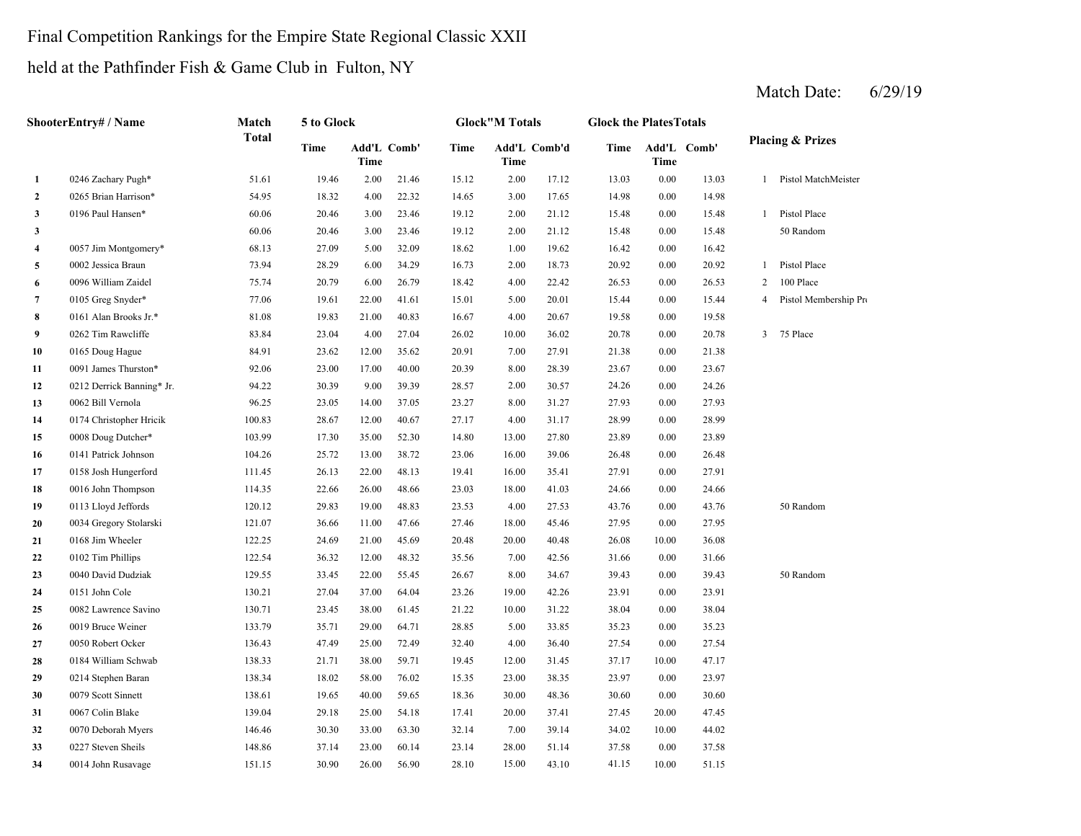### Final Competition Rankings for the Empire State Regional Classic XXII

held at the Pathfinder Fish & Game Club in Fulton, NY

|              | ShooterEntry# / Name      | Match        | 5 to Glock  |                     |       |             | <b>Glock</b> "M Totals |       | <b>Glock the PlatesTotals</b> |       |             |                |                             |
|--------------|---------------------------|--------------|-------------|---------------------|-------|-------------|------------------------|-------|-------------------------------|-------|-------------|----------------|-----------------------------|
|              |                           | <b>Total</b> | <b>Time</b> | Add'L Comb'<br>Time |       | <b>Time</b> | Add'L Comb'd<br>Time   |       | <b>Time</b>                   | Time  | Add'L Comb' |                | <b>Placing &amp; Prizes</b> |
| 1            | 0246 Zachary Pugh*        | 51.61        | 19.46       | 2.00                | 21.46 | 15.12       | 2.00                   | 17.12 | 13.03                         | 0.00  | 13.03       |                | 1 Pistol MatchMeister       |
| $\mathbf{2}$ | 0265 Brian Harrison*      | 54.95        | 18.32       | 4.00                | 22.32 | 14.65       | 3.00                   | 17.65 | 14.98                         | 0.00  | 14.98       |                |                             |
| 3            | 0196 Paul Hansen*         | 60.06        | 20.46       | 3.00                | 23.46 | 19.12       | 2.00                   | 21.12 | 15.48                         | 0.00  | 15.48       | 1              | Pistol Place                |
| 3            |                           | 60.06        | 20.46       | 3.00                | 23.46 | 19.12       | 2.00                   | 21.12 | 15.48                         | 0.00  | 15.48       |                | 50 Random                   |
| 4            | 0057 Jim Montgomery*      | 68.13        | 27.09       | 5.00                | 32.09 | 18.62       | 1.00                   | 19.62 | 16.42                         | 0.00  | 16.42       |                |                             |
| 5            | 0002 Jessica Braun        | 73.94        | 28.29       | 6.00                | 34.29 | 16.73       | 2.00                   | 18.73 | 20.92                         | 0.00  | 20.92       | 1              | Pistol Place                |
| 6            | 0096 William Zaidel       | 75.74        | 20.79       | 6.00                | 26.79 | 18.42       | 4.00                   | 22.42 | 26.53                         | 0.00  | 26.53       | 2              | 100 Place                   |
| 7            | 0105 Greg Snyder*         | 77.06        | 19.61       | 22.00               | 41.61 | 15.01       | 5.00                   | 20.01 | 15.44                         | 0.00  | 15.44       | $\overline{4}$ | Pistol Membership Pro       |
| 8            | 0161 Alan Brooks Jr.*     | 81.08        | 19.83       | 21.00               | 40.83 | 16.67       | 4.00                   | 20.67 | 19.58                         | 0.00  | 19.58       |                |                             |
| 9            | 0262 Tim Rawcliffe        | 83.84        | 23.04       | 4.00                | 27.04 | 26.02       | 10.00                  | 36.02 | 20.78                         | 0.00  | 20.78       | 3              | 75 Place                    |
| 10           | 0165 Doug Hague           | 84.91        | 23.62       | 12.00               | 35.62 | 20.91       | 7.00                   | 27.91 | 21.38                         | 0.00  | 21.38       |                |                             |
| 11           | 0091 James Thurston*      | 92.06        | 23.00       | 17.00               | 40.00 | 20.39       | 8.00                   | 28.39 | 23.67                         | 0.00  | 23.67       |                |                             |
| 12           | 0212 Derrick Banning* Jr. | 94.22        | 30.39       | 9.00                | 39.39 | 28.57       | 2.00                   | 30.57 | 24.26                         | 0.00  | 24.26       |                |                             |
| 13           | 0062 Bill Vernola         | 96.25        | 23.05       | 14.00               | 37.05 | 23.27       | 8.00                   | 31.27 | 27.93                         | 0.00  | 27.93       |                |                             |
| 14           | 0174 Christopher Hricik   | 100.83       | 28.67       | 12.00               | 40.67 | 27.17       | 4.00                   | 31.17 | 28.99                         | 0.00  | 28.99       |                |                             |
| 15           | 0008 Doug Dutcher*        | 103.99       | 17.30       | 35.00               | 52.30 | 14.80       | 13.00                  | 27.80 | 23.89                         | 0.00  | 23.89       |                |                             |
| 16           | 0141 Patrick Johnson      | 104.26       | 25.72       | 13.00               | 38.72 | 23.06       | 16.00                  | 39.06 | 26.48                         | 0.00  | 26.48       |                |                             |
| 17           | 0158 Josh Hungerford      | 111.45       | 26.13       | 22.00               | 48.13 | 19.41       | 16.00                  | 35.41 | 27.91                         | 0.00  | 27.91       |                |                             |
| 18           | 0016 John Thompson        | 114.35       | 22.66       | 26.00               | 48.66 | 23.03       | 18.00                  | 41.03 | 24.66                         | 0.00  | 24.66       |                |                             |
| 19           | 0113 Lloyd Jeffords       | 120.12       | 29.83       | 19.00               | 48.83 | 23.53       | 4.00                   | 27.53 | 43.76                         | 0.00  | 43.76       |                | 50 Random                   |
| 20           | 0034 Gregory Stolarski    | 121.07       | 36.66       | 11.00               | 47.66 | 27.46       | 18.00                  | 45.46 | 27.95                         | 0.00  | 27.95       |                |                             |
| 21           | 0168 Jim Wheeler          | 122.25       | 24.69       | 21.00               | 45.69 | 20.48       | 20.00                  | 40.48 | 26.08                         | 10.00 | 36.08       |                |                             |
| 22           | 0102 Tim Phillips         | 122.54       | 36.32       | 12.00               | 48.32 | 35.56       | 7.00                   | 42.56 | 31.66                         | 0.00  | 31.66       |                |                             |
| 23           | 0040 David Dudziak        | 129.55       | 33.45       | 22.00               | 55.45 | 26.67       | 8.00                   | 34.67 | 39.43                         | 0.00  | 39.43       |                | 50 Random                   |
| 24           | 0151 John Cole            | 130.21       | 27.04       | 37.00               | 64.04 | 23.26       | 19.00                  | 42.26 | 23.91                         | 0.00  | 23.91       |                |                             |
| 25           | 0082 Lawrence Savino      | 130.71       | 23.45       | 38.00               | 61.45 | 21.22       | 10.00                  | 31.22 | 38.04                         | 0.00  | 38.04       |                |                             |
| 26           | 0019 Bruce Weiner         | 133.79       | 35.71       | 29.00               | 64.71 | 28.85       | 5.00                   | 33.85 | 35.23                         | 0.00  | 35.23       |                |                             |
| 27           | 0050 Robert Ocker         | 136.43       | 47.49       | 25.00               | 72.49 | 32.40       | 4.00                   | 36.40 | 27.54                         | 0.00  | 27.54       |                |                             |
| 28           | 0184 William Schwab       | 138.33       | 21.71       | 38.00               | 59.71 | 19.45       | 12.00                  | 31.45 | 37.17                         | 10.00 | 47.17       |                |                             |
| 29           | 0214 Stephen Baran        | 138.34       | 18.02       | 58.00               | 76.02 | 15.35       | 23.00                  | 38.35 | 23.97                         | 0.00  | 23.97       |                |                             |
| 30           | 0079 Scott Sinnett        | 138.61       | 19.65       | 40.00               | 59.65 | 18.36       | 30.00                  | 48.36 | 30.60                         | 0.00  | 30.60       |                |                             |
| 31           | 0067 Colin Blake          | 139.04       | 29.18       | 25.00               | 54.18 | 17.41       | 20.00                  | 37.41 | 27.45                         | 20.00 | 47.45       |                |                             |
| 32           | 0070 Deborah Myers        | 146.46       | 30.30       | 33.00               | 63.30 | 32.14       | 7.00                   | 39.14 | 34.02                         | 10.00 | 44.02       |                |                             |
| 33           | 0227 Steven Sheils        | 148.86       | 37.14       | 23.00               | 60.14 | 23.14       | 28.00                  | 51.14 | 37.58                         | 0.00  | 37.58       |                |                             |
| 34           | 0014 John Rusavage        | 151.15       | 30.90       | 26.00               | 56.90 | 28.10       | 15.00                  | 43.10 | 41.15                         | 10.00 | 51.15       |                |                             |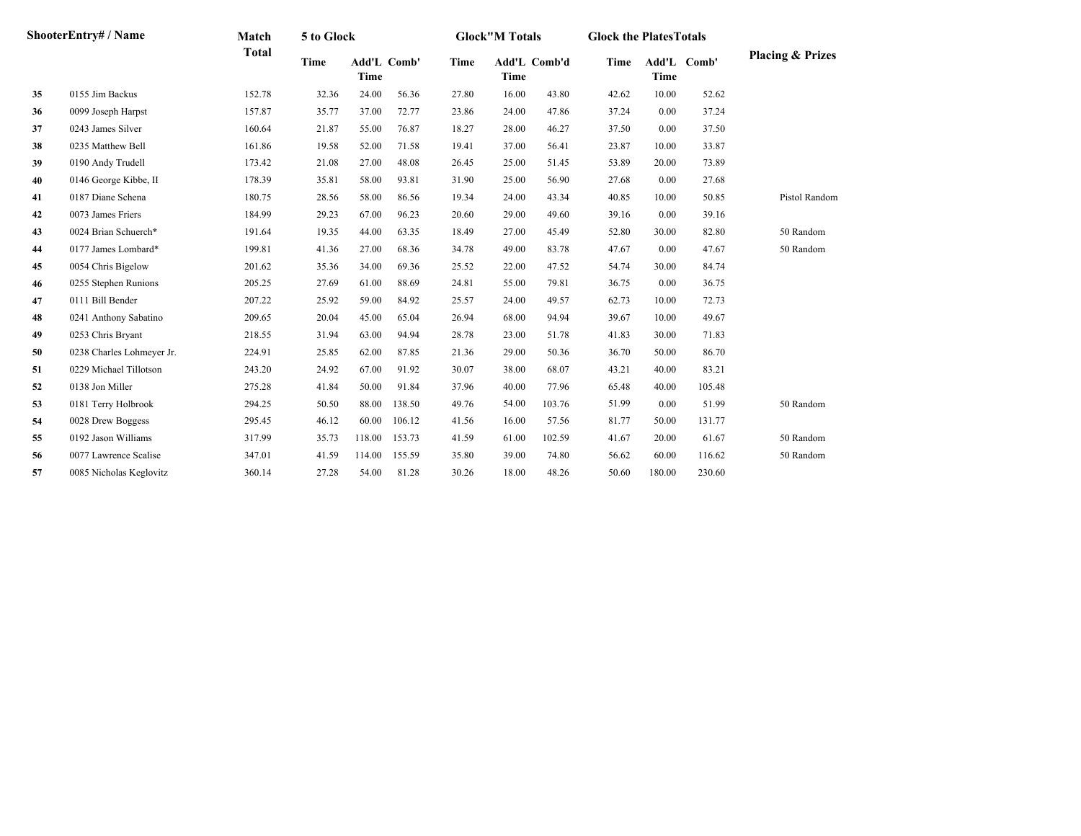|    | <b>ShooterEntry# / Name</b> | Match        | 5 to Glock |                     |        |             | <b>Glock"M Totals</b> |              | <b>Glock the Plates Totals</b> |        |             |                             |
|----|-----------------------------|--------------|------------|---------------------|--------|-------------|-----------------------|--------------|--------------------------------|--------|-------------|-----------------------------|
|    |                             | <b>Total</b> | Time       | Add'L Comb'<br>Time |        | <b>Time</b> | Time                  | Add'L Comb'd | Time                           | Time   | Add'L Comb' | <b>Placing &amp; Prizes</b> |
| 35 | 0155 Jim Backus             | 152.78       | 32.36      | 24.00               | 56.36  | 27.80       | 16.00                 | 43.80        | 42.62                          | 10.00  | 52.62       |                             |
| 36 | 0099 Joseph Harpst          | 157.87       | 35.77      | 37.00               | 72.77  | 23.86       | 24.00                 | 47.86        | 37.24                          | 0.00   | 37.24       |                             |
| 37 | 0243 James Silver           | 160.64       | 21.87      | 55.00               | 76.87  | 18.27       | 28.00                 | 46.27        | 37.50                          | 0.00   | 37.50       |                             |
| 38 | 0235 Matthew Bell           | 161.86       | 19.58      | 52.00               | 71.58  | 19.41       | 37.00                 | 56.41        | 23.87                          | 10.00  | 33.87       |                             |
| 39 | 0190 Andy Trudell           | 173.42       | 21.08      | 27.00               | 48.08  | 26.45       | 25.00                 | 51.45        | 53.89                          | 20.00  | 73.89       |                             |
| 40 | 0146 George Kibbe, II       | 178.39       | 35.81      | 58.00               | 93.81  | 31.90       | 25.00                 | 56.90        | 27.68                          | 0.00   | 27.68       |                             |
| 41 | 0187 Diane Schena           | 180.75       | 28.56      | 58.00               | 86.56  | 19.34       | 24.00                 | 43.34        | 40.85                          | 10.00  | 50.85       | Pistol Random               |
| 42 | 0073 James Friers           | 184.99       | 29.23      | 67.00               | 96.23  | 20.60       | 29.00                 | 49.60        | 39.16                          | 0.00   | 39.16       |                             |
| 43 | 0024 Brian Schuerch*        | 191.64       | 19.35      | 44.00               | 63.35  | 18.49       | 27.00                 | 45.49        | 52.80                          | 30.00  | 82.80       | 50 Random                   |
| 44 | 0177 James Lombard*         | 199.81       | 41.36      | 27.00               | 68.36  | 34.78       | 49.00                 | 83.78        | 47.67                          | 0.00   | 47.67       | 50 Random                   |
| 45 | 0054 Chris Bigelow          | 201.62       | 35.36      | 34.00               | 69.36  | 25.52       | 22.00                 | 47.52        | 54.74                          | 30.00  | 84.74       |                             |
| 46 | 0255 Stephen Runions        | 205.25       | 27.69      | 61.00               | 88.69  | 24.81       | 55.00                 | 79.81        | 36.75                          | 0.00   | 36.75       |                             |
| 47 | 0111 Bill Bender            | 207.22       | 25.92      | 59.00               | 84.92  | 25.57       | 24.00                 | 49.57        | 62.73                          | 10.00  | 72.73       |                             |
| 48 | 0241 Anthony Sabatino       | 209.65       | 20.04      | 45.00               | 65.04  | 26.94       | 68.00                 | 94.94        | 39.67                          | 10.00  | 49.67       |                             |
| 49 | 0253 Chris Bryant           | 218.55       | 31.94      | 63.00               | 94.94  | 28.78       | 23.00                 | 51.78        | 41.83                          | 30.00  | 71.83       |                             |
| 50 | 0238 Charles Lohmeyer Jr.   | 224.91       | 25.85      | 62.00               | 87.85  | 21.36       | 29.00                 | 50.36        | 36.70                          | 50.00  | 86.70       |                             |
| 51 | 0229 Michael Tillotson      | 243.20       | 24.92      | 67.00               | 91.92  | 30.07       | 38.00                 | 68.07        | 43.21                          | 40.00  | 83.21       |                             |
| 52 | 0138 Jon Miller             | 275.28       | 41.84      | 50.00               | 91.84  | 37.96       | 40.00                 | 77.96        | 65.48                          | 40.00  | 105.48      |                             |
| 53 | 0181 Terry Holbrook         | 294.25       | 50.50      | 88.00               | 138.50 | 49.76       | 54.00                 | 103.76       | 51.99                          | 0.00   | 51.99       | 50 Random                   |
| 54 | 0028 Drew Boggess           | 295.45       | 46.12      | 60.00               | 106.12 | 41.56       | 16.00                 | 57.56        | 81.77                          | 50.00  | 131.77      |                             |
| 55 | 0192 Jason Williams         | 317.99       | 35.73      | 118.00              | 153.73 | 41.59       | 61.00                 | 102.59       | 41.67                          | 20.00  | 61.67       | 50 Random                   |
| 56 | 0077 Lawrence Scalise       | 347.01       | 41.59      | 114.00              | 155.59 | 35.80       | 39.00                 | 74.80        | 56.62                          | 60.00  | 116.62      | 50 Random                   |
| 57 | 0085 Nicholas Keglovitz     | 360.14       | 27.28      | 54.00               | 81.28  | 30.26       | 18.00                 | 48.26        | 50.60                          | 180.00 | 230.60      |                             |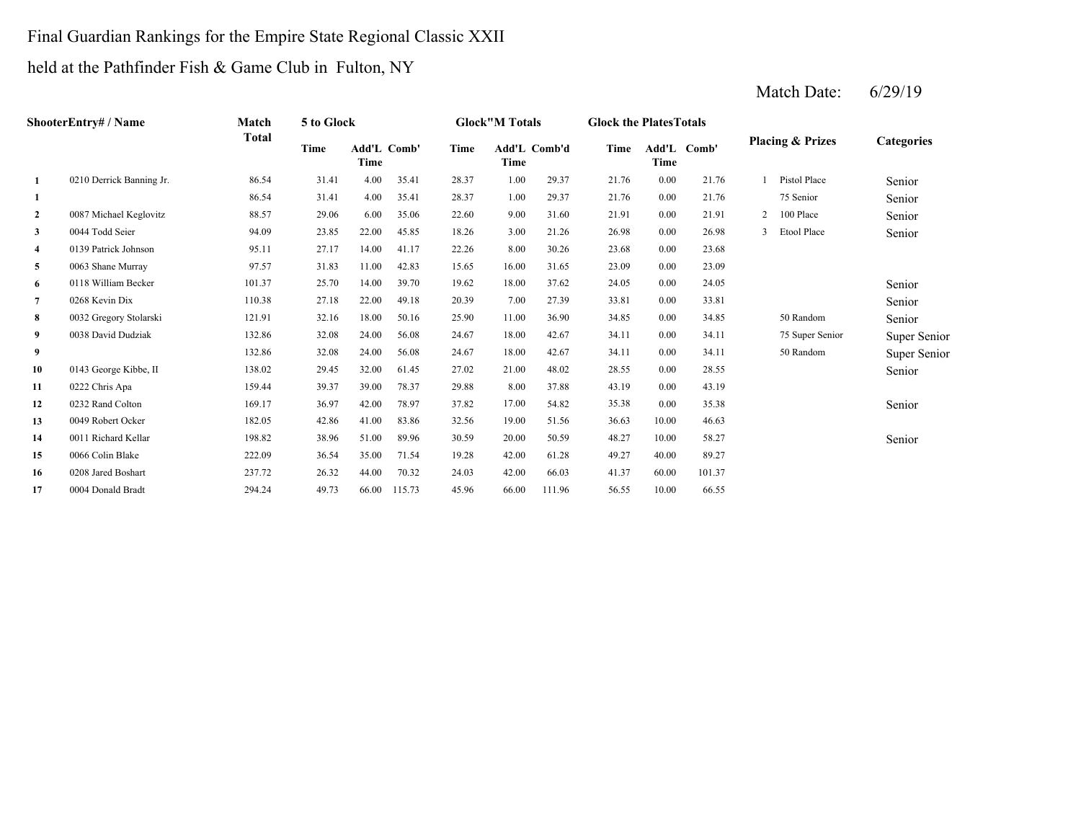## Final Guardian Rankings for the Empire State Regional Classic XXII

## held at the Pathfinder Fish & Game Club in Fulton, NY

|              | <b>ShooterEntry#/Name</b> | Match        | 5 to Glock  |       |                    |       | <b>Glock</b> "M Totals |              | <b>Glock the Plates Totals</b> |             |             |                |                             |                   |
|--------------|---------------------------|--------------|-------------|-------|--------------------|-------|------------------------|--------------|--------------------------------|-------------|-------------|----------------|-----------------------------|-------------------|
|              |                           | <b>Total</b> | <b>Time</b> | Time  | <b>Add'L Comb'</b> | Time  | Time                   | Add'L Comb'd | Time                           | <b>Time</b> | Add'L Comb' |                | <b>Placing &amp; Prizes</b> | <b>Categories</b> |
| 1            | 0210 Derrick Banning Jr.  | 86.54        | 31.41       | 4.00  | 35.41              | 28.37 | 1.00                   | 29.37        | 21.76                          | 0.00        | 21.76       |                | Pistol Place                | Senior            |
| 1            |                           | 86.54        | 31.41       | 4.00  | 35.41              | 28.37 | 1.00                   | 29.37        | 21.76                          | 0.00        | 21.76       |                | 75 Senior                   | Senior            |
| $\mathbf{2}$ | 0087 Michael Keglovitz    | 88.57        | 29.06       | 6.00  | 35.06              | 22.60 | 9.00                   | 31.60        | 21.91                          | 0.00        | 21.91       | $\overline{2}$ | 100 Place                   | Senior            |
| 3            | 0044 Todd Seier           | 94.09        | 23.85       | 22.00 | 45.85              | 18.26 | 3.00                   | 21.26        | 26.98                          | 0.00        | 26.98       |                | 3 Etool Place               | Senior            |
| 4            | 0139 Patrick Johnson      | 95.11        | 27.17       | 14.00 | 41.17              | 22.26 | 8.00                   | 30.26        | 23.68                          | 0.00        | 23.68       |                |                             |                   |
| 5            | 0063 Shane Murray         | 97.57        | 31.83       | 11.00 | 42.83              | 15.65 | 16.00                  | 31.65        | 23.09                          | 0.00        | 23.09       |                |                             |                   |
| 6            | 0118 William Becker       | 101.37       | 25.70       | 14.00 | 39.70              | 19.62 | 18.00                  | 37.62        | 24.05                          | 0.00        | 24.05       |                |                             | Senior            |
| 7            | 0268 Kevin Dix            | 110.38       | 27.18       | 22.00 | 49.18              | 20.39 | 7.00                   | 27.39        | 33.81                          | 0.00        | 33.81       |                |                             | Senior            |
| 8            | 0032 Gregory Stolarski    | 121.91       | 32.16       | 18.00 | 50.16              | 25.90 | 11.00                  | 36.90        | 34.85                          | 0.00        | 34.85       |                | 50 Random                   | Senior            |
| 9            | 0038 David Dudziak        | 132.86       | 32.08       | 24.00 | 56.08              | 24.67 | 18.00                  | 42.67        | 34.11                          | 0.00        | 34.11       |                | 75 Super Senior             | Super Senior      |
| 9            |                           | 132.86       | 32.08       | 24.00 | 56.08              | 24.67 | 18.00                  | 42.67        | 34.11                          | 0.00        | 34.11       |                | 50 Random                   | Super Senior      |
| 10           | 0143 George Kibbe, II     | 138.02       | 29.45       | 32.00 | 61.45              | 27.02 | 21.00                  | 48.02        | 28.55                          | 0.00        | 28.55       |                |                             | Senior            |
| 11           | 0222 Chris Apa            | 159.44       | 39.37       | 39.00 | 78.37              | 29.88 | 8.00                   | 37.88        | 43.19                          | 0.00        | 43.19       |                |                             |                   |
| 12           | 0232 Rand Colton          | 169.17       | 36.97       | 42.00 | 78.97              | 37.82 | 17.00                  | 54.82        | 35.38                          | 0.00        | 35.38       |                |                             | Senior            |
| 13           | 0049 Robert Ocker         | 182.05       | 42.86       | 41.00 | 83.86              | 32.56 | 19.00                  | 51.56        | 36.63                          | 10.00       | 46.63       |                |                             |                   |
| 14           | 0011 Richard Kellar       | 198.82       | 38.96       | 51.00 | 89.96              | 30.59 | 20.00                  | 50.59        | 48.27                          | 10.00       | 58.27       |                |                             | Senior            |
| 15           | 0066 Colin Blake          | 222.09       | 36.54       | 35.00 | 71.54              | 19.28 | 42.00                  | 61.28        | 49.27                          | 40.00       | 89.27       |                |                             |                   |
| 16           | 0208 Jared Boshart        | 237.72       | 26.32       | 44.00 | 70.32              | 24.03 | 42.00                  | 66.03        | 41.37                          | 60.00       | 101.37      |                |                             |                   |
| 17           | 0004 Donald Bradt         | 294.24       | 49.73       | 66.00 | 115.73             | 45.96 | 66.00                  | 111.96       | 56.55                          | 10.00       | 66.55       |                |                             |                   |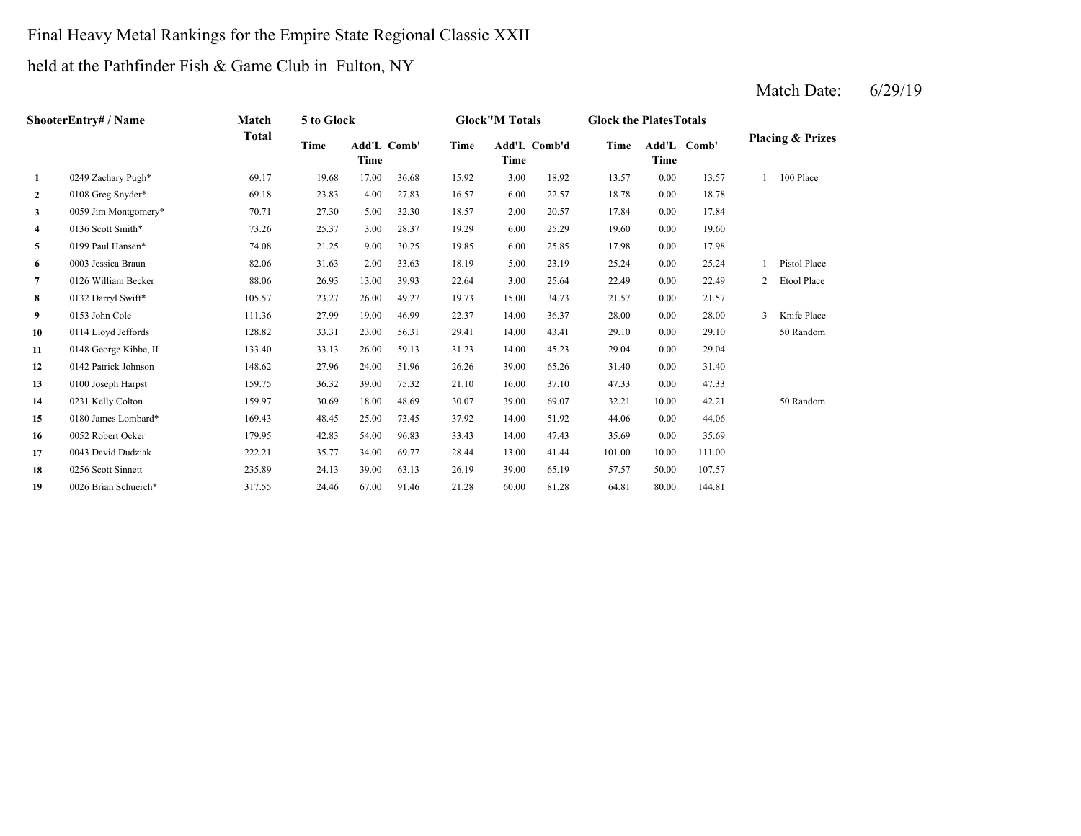# Final Heavy Metal Rankings for the Empire State Regional Classic XXII

held at the Pathfinder Fish & Game Club in Fulton, NY

|                | <b>ShooterEntry#/Name</b> | Match        | 5 to Glock |                            |       |       | <b>Glock"M Totals</b> |       | <b>Glock the Plates Totals</b> |       |             |                |                             |
|----------------|---------------------------|--------------|------------|----------------------------|-------|-------|-----------------------|-------|--------------------------------|-------|-------------|----------------|-----------------------------|
|                |                           | <b>Total</b> | Time       | <b>Add'L Comb'</b><br>Time |       | Time  | Add'L Comb'd<br>Time  |       | Time                           | Time  | Add'L Comb' |                | <b>Placing &amp; Prizes</b> |
| $\mathbf{1}$   | 0249 Zachary Pugh*        | 69.17        | 19.68      | 17.00                      | 36.68 | 15.92 | 3.00                  | 18.92 | 13.57                          | 0.00  | 13.57       |                | 100 Place                   |
| $\overline{2}$ | 0108 Greg Snyder*         | 69.18        | 23.83      | 4.00                       | 27.83 | 16.57 | 6.00                  | 22.57 | 18.78                          | 0.00  | 18.78       |                |                             |
| 3              | 0059 Jim Montgomery*      | 70.71        | 27.30      | 5.00                       | 32.30 | 18.57 | 2.00                  | 20.57 | 17.84                          | 0.00  | 17.84       |                |                             |
| 4              | 0136 Scott Smith*         | 73.26        | 25.37      | 3.00                       | 28.37 | 19.29 | 6.00                  | 25.29 | 19.60                          | 0.00  | 19.60       |                |                             |
| 5              | 0199 Paul Hansen*         | 74.08        | 21.25      | 9.00                       | 30.25 | 19.85 | 6.00                  | 25.85 | 17.98                          | 0.00  | 17.98       |                |                             |
| 6              | 0003 Jessica Braun        | 82.06        | 31.63      | 2.00                       | 33.63 | 18.19 | 5.00                  | 23.19 | 25.24                          | 0.00  | 25.24       |                | Pistol Place                |
| $\overline{7}$ | 0126 William Becker       | 88.06        | 26.93      | 13.00                      | 39.93 | 22.64 | 3.00                  | 25.64 | 22.49                          | 0.00  | 22.49       | $\overline{c}$ | Etool Place                 |
| 8              | 0132 Darryl Swift*        | 105.57       | 23.27      | 26.00                      | 49.27 | 19.73 | 15.00                 | 34.73 | 21.57                          | 0.00  | 21.57       |                |                             |
| 9              | 0153 John Cole            | 111.36       | 27.99      | 19.00                      | 46.99 | 22.37 | 14.00                 | 36.37 | 28.00                          | 0.00  | 28.00       | 3              | Knife Place                 |
| 10             | 0114 Lloyd Jeffords       | 128.82       | 33.31      | 23.00                      | 56.31 | 29.41 | 14.00                 | 43.41 | 29.10                          | 0.00  | 29.10       |                | 50 Random                   |
| 11             | 0148 George Kibbe, II     | 133.40       | 33.13      | 26.00                      | 59.13 | 31.23 | 14.00                 | 45.23 | 29.04                          | 0.00  | 29.04       |                |                             |
| 12             | 0142 Patrick Johnson      | 148.62       | 27.96      | 24.00                      | 51.96 | 26.26 | 39.00                 | 65.26 | 31.40                          | 0.00  | 31.40       |                |                             |
| 13             | 0100 Joseph Harpst        | 159.75       | 36.32      | 39.00                      | 75.32 | 21.10 | 16.00                 | 37.10 | 47.33                          | 0.00  | 47.33       |                |                             |
| 14             | 0231 Kelly Colton         | 159.97       | 30.69      | 18.00                      | 48.69 | 30.07 | 39.00                 | 69.07 | 32.21                          | 10.00 | 42.21       |                | 50 Random                   |
| 15             | 0180 James Lombard*       | 169.43       | 48.45      | 25.00                      | 73.45 | 37.92 | 14.00                 | 51.92 | 44.06                          | 0.00  | 44.06       |                |                             |
| 16             | 0052 Robert Ocker         | 179.95       | 42.83      | 54.00                      | 96.83 | 33.43 | 14.00                 | 47.43 | 35.69                          | 0.00  | 35.69       |                |                             |
| 17             | 0043 David Dudziak        | 222.21       | 35.77      | 34.00                      | 69.77 | 28.44 | 13.00                 | 41.44 | 101.00                         | 10.00 | 111.00      |                |                             |
| 18             | 0256 Scott Sinnett        | 235.89       | 24.13      | 39.00                      | 63.13 | 26.19 | 39.00                 | 65.19 | 57.57                          | 50.00 | 107.57      |                |                             |
| 19             | 0026 Brian Schuerch*      | 317.55       | 24.46      | 67.00                      | 91.46 | 21.28 | 60.00                 | 81.28 | 64.81                          | 80.00 | 144.81      |                |                             |
|                |                           |              |            |                            |       |       |                       |       |                                |       |             |                |                             |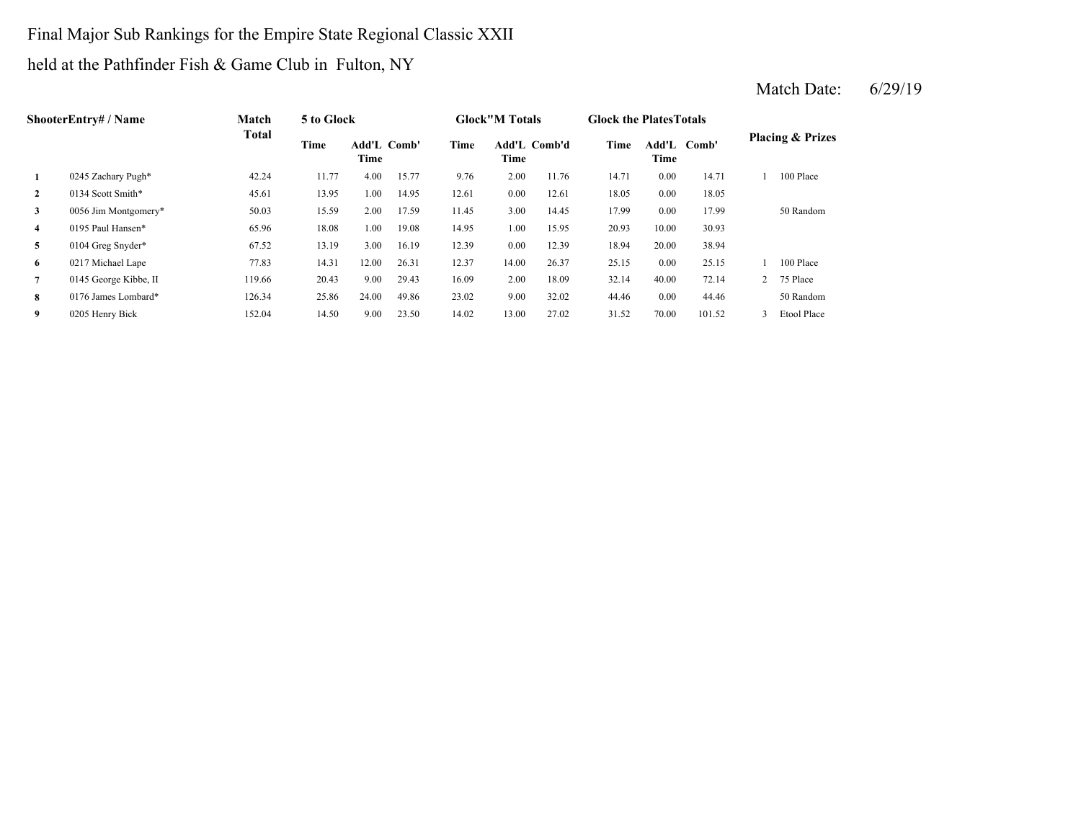Final Major Sub Rankings for the Empire State Regional Classic XXII held at the Pathfinder Fish & Game Club in Fulton, NY

|              | <b>ShooterEntry#/Name</b> | Match        | 5 to Glock |                            |       |       | <b>Glock</b> "M Totals      |       | <b>Glock the Plates Totals</b> |                     |        |                |                             |
|--------------|---------------------------|--------------|------------|----------------------------|-------|-------|-----------------------------|-------|--------------------------------|---------------------|--------|----------------|-----------------------------|
|              |                           | <b>Total</b> | Time       | <b>Add'L Comb'</b><br>Time |       | Time  | <b>Add'L Comb'd</b><br>Time |       | Time                           | Add'L Comb'<br>Time |        |                | <b>Placing &amp; Prizes</b> |
|              | 0245 Zachary Pugh*        | 42.24        | 11.77      | 4.00                       | 15.77 | 9.76  | 2.00                        | 11.76 | 14.71                          | 0.00                | 14.71  |                | 100 Place                   |
| $\mathbf{2}$ | 0134 Scott Smith*         | 45.61        | 13.95      | 1.00                       | 14.95 | 12.61 | 0.00                        | 12.61 | 18.05                          | 0.00                | 18.05  |                |                             |
| 3            | 0056 Jim Montgomery*      | 50.03        | 15.59      | 2.00                       | 17.59 | 11.45 | 3.00                        | 14.45 | 17.99                          | 0.00                | 17.99  |                | 50 Random                   |
| 4            | 0195 Paul Hansen*         | 65.96        | 18.08      | 1.00                       | 19.08 | 14.95 | 1.00                        | 15.95 | 20.93                          | 10.00               | 30.93  |                |                             |
| 5            | 0104 Greg Snyder*         | 67.52        | 13.19      | 3.00                       | 16.19 | 12.39 | 0.00                        | 12.39 | 18.94                          | 20.00               | 38.94  |                |                             |
| 6            | 0217 Michael Lape         | 77.83        | 14.31      | 12.00                      | 26.31 | 12.37 | 14.00                       | 26.37 | 25.15                          | 0.00                | 25.15  |                | 100 Place                   |
| 7            | 0145 George Kibbe, II     | 119.66       | 20.43      | 9.00                       | 29.43 | 16.09 | 2.00                        | 18.09 | 32.14                          | 40.00               | 72.14  | $\overline{2}$ | 75 Place                    |
| 8            | 0176 James Lombard*       | 126.34       | 25.86      | 24.00                      | 49.86 | 23.02 | 9.00                        | 32.02 | 44.46                          | 0.00                | 44.46  |                | 50 Random                   |
| 9            | 0205 Henry Bick           | 152.04       | 14.50      | 9.00                       | 23.50 | 14.02 | 13.00                       | 27.02 | 31.52                          | 70.00               | 101.52 | 3              | Etool Place                 |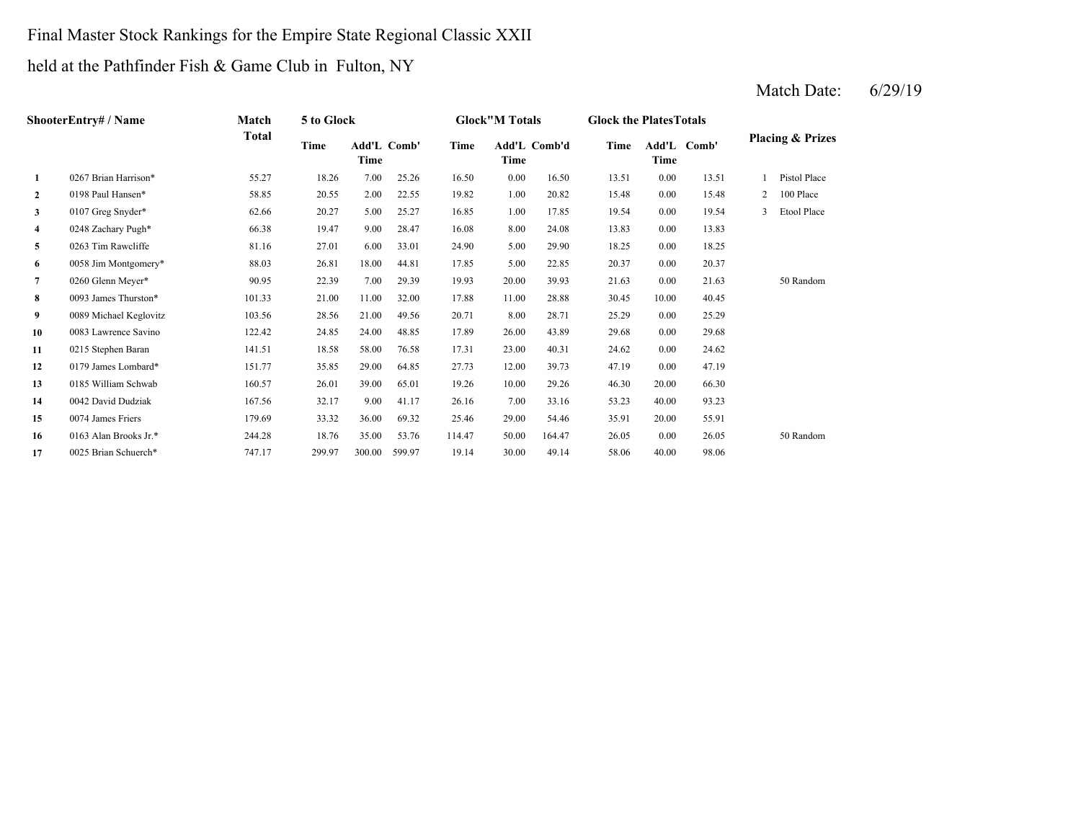# Final Master Stock Rankings for the Empire State Regional Classic XXII

held at the Pathfinder Fish & Game Club in Fulton, NY

|                | <b>ShooterEntry# / Name</b> | Match  | 5 to Glock |                     |        |        | <b>Glock"M Totals</b> |              | <b>Glock the Plates Totals</b> |       |             |   |                             |
|----------------|-----------------------------|--------|------------|---------------------|--------|--------|-----------------------|--------------|--------------------------------|-------|-------------|---|-----------------------------|
|                |                             | Total  | Time       | Add'L Comb'<br>Time |        | Time   | Time                  | Add'L Comb'd | Time                           | Time  | Add'L Comb' |   | <b>Placing &amp; Prizes</b> |
| 1              | 0267 Brian Harrison*        | 55.27  | 18.26      | 7.00                | 25.26  | 16.50  | 0.00                  | 16.50        | 13.51                          | 0.00  | 13.51       |   | Pistol Place                |
| $\overline{2}$ | 0198 Paul Hansen*           | 58.85  | 20.55      | 2.00                | 22.55  | 19.82  | 1.00                  | 20.82        | 15.48                          | 0.00  | 15.48       | 2 | 100 Place                   |
| 3              | 0107 Greg Snyder*           | 62.66  | 20.27      | 5.00                | 25.27  | 16.85  | 1.00                  | 17.85        | 19.54                          | 0.00  | 19.54       |   | Etool Place                 |
| 4              | 0248 Zachary Pugh*          | 66.38  | 19.47      | 9.00                | 28.47  | 16.08  | 8.00                  | 24.08        | 13.83                          | 0.00  | 13.83       |   |                             |
| 5              | 0263 Tim Rawcliffe          | 81.16  | 27.01      | 6.00                | 33.01  | 24.90  | 5.00                  | 29.90        | 18.25                          | 0.00  | 18.25       |   |                             |
| 6              | 0058 Jim Montgomery*        | 88.03  | 26.81      | 18.00               | 44.81  | 17.85  | 5.00                  | 22.85        | 20.37                          | 0.00  | 20.37       |   |                             |
| 7              | 0260 Glenn Meyer*           | 90.95  | 22.39      | 7.00                | 29.39  | 19.93  | 20.00                 | 39.93        | 21.63                          | 0.00  | 21.63       |   | 50 Random                   |
| 8              | 0093 James Thurston*        | 101.33 | 21.00      | 11.00               | 32.00  | 17.88  | 11.00                 | 28.88        | 30.45                          | 10.00 | 40.45       |   |                             |
| 9              | 0089 Michael Keglovitz      | 103.56 | 28.56      | 21.00               | 49.56  | 20.71  | 8.00                  | 28.71        | 25.29                          | 0.00  | 25.29       |   |                             |
| 10             | 0083 Lawrence Savino        | 122.42 | 24.85      | 24.00               | 48.85  | 17.89  | 26.00                 | 43.89        | 29.68                          | 0.00  | 29.68       |   |                             |
| 11             | 0215 Stephen Baran          | 141.51 | 18.58      | 58.00               | 76.58  | 17.31  | 23.00                 | 40.31        | 24.62                          | 0.00  | 24.62       |   |                             |
| 12             | 0179 James Lombard*         | 151.77 | 35.85      | 29.00               | 64.85  | 27.73  | 12.00                 | 39.73        | 47.19                          | 0.00  | 47.19       |   |                             |
| 13             | 0185 William Schwab         | 160.57 | 26.01      | 39.00               | 65.01  | 19.26  | 10.00                 | 29.26        | 46.30                          | 20.00 | 66.30       |   |                             |
| 14             | 0042 David Dudziak          | 167.56 | 32.17      | 9.00                | 41.17  | 26.16  | 7.00                  | 33.16        | 53.23                          | 40.00 | 93.23       |   |                             |
| 15             | 0074 James Friers           | 179.69 | 33.32      | 36.00               | 69.32  | 25.46  | 29.00                 | 54.46        | 35.91                          | 20.00 | 55.91       |   |                             |
| 16             | 0163 Alan Brooks Jr.*       | 244.28 | 18.76      | 35.00               | 53.76  | 114.47 | 50.00                 | 164.47       | 26.05                          | 0.00  | 26.05       |   | 50 Random                   |
| 17             | 0025 Brian Schuerch*        | 747.17 | 299.97     | 300.00              | 599.97 | 19.14  | 30.00                 | 49.14        | 58.06                          | 40.00 | 98.06       |   |                             |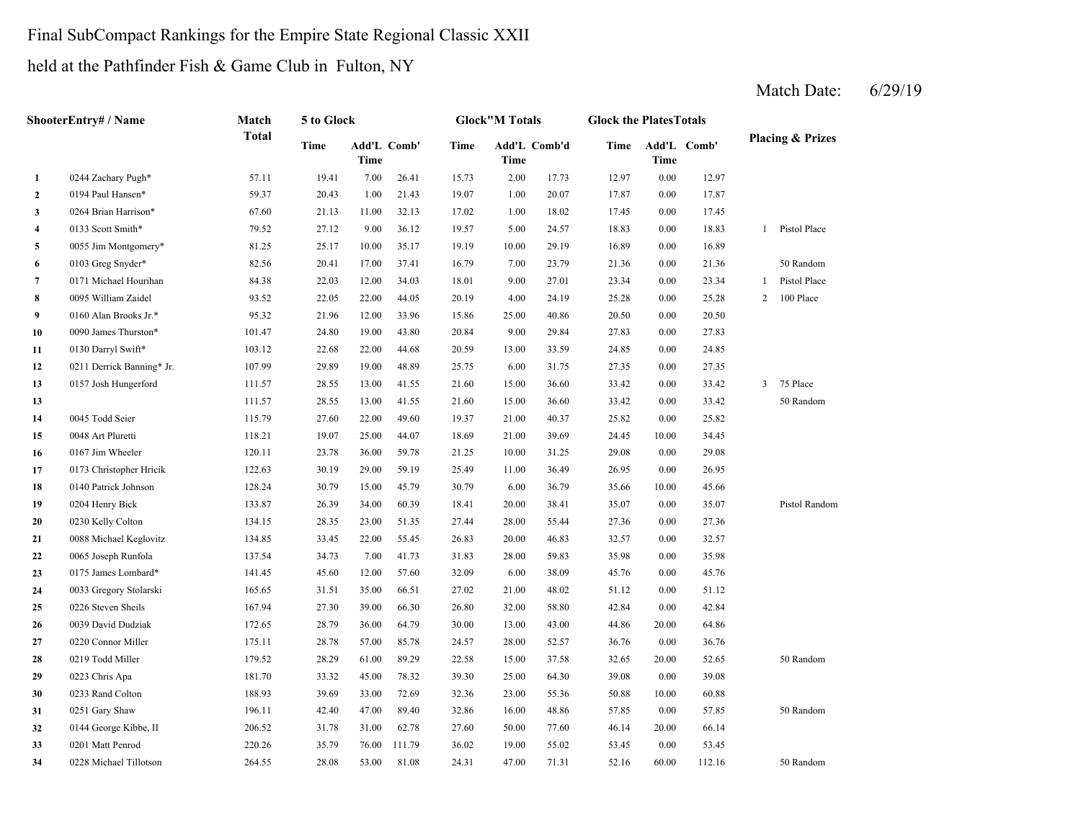## Final SubCompact Rankings for the Empire State Regional Classic XXII

held at the Pathfinder Fish & Game Club in Fulton, NY

|                | ShooterEntry# / Name      | Match        | 5 to Glock  |                            |        |       | <b>Glock"M Totals</b> |              | <b>Glock the Plates Totals</b> |       |             |                |                             |
|----------------|---------------------------|--------------|-------------|----------------------------|--------|-------|-----------------------|--------------|--------------------------------|-------|-------------|----------------|-----------------------------|
|                |                           | <b>Total</b> | <b>Time</b> | Add'L Comb'<br><b>Time</b> |        | Time  | Time                  | Add'L Comb'd | Time                           | Time  | Add'L Comb' |                | <b>Placing &amp; Prizes</b> |
| 1              | 0244 Zachary Pugh*        | 57.11        | 19.41       | 7.00                       | 26.41  | 15.73 | 2.00                  | 17.73        | 12.97                          | 0.00  | 12.97       |                |                             |
| $\mathbf{2}$   | 0194 Paul Hansen*         | 59.37        | 20.43       | 1.00                       | 21.43  | 19.07 | 1.00                  | 20.07        | 17.87                          | 0.00  | 17.87       |                |                             |
| 3              | 0264 Brian Harrison*      | 67.60        | 21.13       | 11.00                      | 32.13  | 17.02 | 1.00                  | 18.02        | 17.45                          | 0.00  | 17.45       |                |                             |
| 4              | 0133 Scott Smith*         | 79.52        | 27.12       | 9.00                       | 36.12  | 19.57 | 5.00                  | 24.57        | 18.83                          | 0.00  | 18.83       | 1              | Pistol Place                |
| 5              | 0055 Jim Montgomery*      | 81.25        | 25.17       | 10.00                      | 35.17  | 19.19 | 10.00                 | 29.19        | 16.89                          | 0.00  | 16.89       |                |                             |
| 6              | 0103 Greg Snyder*         | 82.56        | 20.41       | 17.00                      | 37.41  | 16.79 | 7.00                  | 23.79        | 21.36                          | 0.00  | 21.36       |                | 50 Random                   |
| $\overline{7}$ | 0171 Michael Hourihan     | 84.38        | 22.03       | 12.00                      | 34.03  | 18.01 | 9.00                  | 27.01        | 23.34                          | 0.00  | 23.34       | $\mathbf{1}$   | Pistol Place                |
| 8              | 0095 William Zaidel       | 93.52        | 22.05       | 22.00                      | 44.05  | 20.19 | 4.00                  | 24.19        | 25.28                          | 0.00  | 25.28       | 2              | 100 Place                   |
| 9              | 0160 Alan Brooks Jr.*     | 95.32        | 21.96       | 12.00                      | 33.96  | 15.86 | 25.00                 | 40.86        | 20.50                          | 0.00  | 20.50       |                |                             |
| 10             | 0090 James Thurston*      | 101.47       | 24.80       | 19.00                      | 43.80  | 20.84 | 9.00                  | 29.84        | 27.83                          | 0.00  | 27.83       |                |                             |
| 11             | 0130 Darryl Swift*        | 103.12       | 22.68       | 22.00                      | 44.68  | 20.59 | 13.00                 | 33.59        | 24.85                          | 0.00  | 24.85       |                |                             |
| 12             | 0211 Derrick Banning* Jr. | 107.99       | 29.89       | 19.00                      | 48.89  | 25.75 | 6.00                  | 31.75        | 27.35                          | 0.00  | 27.35       |                |                             |
| 13             | 0157 Josh Hungerford      | 111.57       | 28.55       | 13.00                      | 41.55  | 21.60 | 15.00                 | 36.60        | 33.42                          | 0.00  | 33.42       | $\overline{3}$ | 75 Place                    |
| 13             |                           | 111.57       | 28.55       | 13.00                      | 41.55  | 21.60 | 15.00                 | 36.60        | 33.42                          | 0.00  | 33.42       |                | 50 Random                   |
| 14             | 0045 Todd Seier           | 115.79       | 27.60       | 22.00                      | 49.60  | 19.37 | 21.00                 | 40.37        | 25.82                          | 0.00  | 25.82       |                |                             |
| 15             | 0048 Art Pluretti         | 118.21       | 19.07       | 25.00                      | 44.07  | 18.69 | 21.00                 | 39.69        | 24.45                          | 10.00 | 34.45       |                |                             |
| 16             | 0167 Jim Wheeler          | 120.11       | 23.78       | 36.00                      | 59.78  | 21.25 | 10.00                 | 31.25        | 29.08                          | 0.00  | 29.08       |                |                             |
| 17             | 0173 Christopher Hricik   | 122.63       | 30.19       | 29.00                      | 59.19  | 25.49 | 11.00                 | 36.49        | 26.95                          | 0.00  | 26.95       |                |                             |
| 18             | 0140 Patrick Johnson      | 128.24       | 30.79       | 15.00                      | 45.79  | 30.79 | 6.00                  | 36.79        | 35.66                          | 10.00 | 45.66       |                |                             |
| 19             | 0204 Henry Bick           | 133.87       | 26.39       | 34.00                      | 60.39  | 18.41 | 20.00                 | 38.41        | 35.07                          | 0.00  | 35.07       |                | Pistol Random               |
| 20             | 0230 Kelly Colton         | 134.15       | 28.35       | 23.00                      | 51.35  | 27.44 | 28.00                 | 55.44        | 27.36                          | 0.00  | 27.36       |                |                             |
| 21             | 0088 Michael Keglovitz    | 134.85       | 33.45       | 22.00                      | 55.45  | 26.83 | 20.00                 | 46.83        | 32.57                          | 0.00  | 32.57       |                |                             |
| 22             | 0065 Joseph Runfola       | 137.54       | 34.73       | 7.00                       | 41.73  | 31.83 | 28.00                 | 59.83        | 35.98                          | 0.00  | 35.98       |                |                             |
| 23             | 0175 James Lombard*       | 141.45       | 45.60       | 12.00                      | 57.60  | 32.09 | 6.00                  | 38.09        | 45.76                          | 0.00  | 45.76       |                |                             |
| 24             | 0033 Gregory Stolarski    | 165.65       | 31.51       | 35.00                      | 66.51  | 27.02 | 21.00                 | 48.02        | 51.12                          | 0.00  | 51.12       |                |                             |
| 25             | 0226 Steven Sheils        | 167.94       | 27.30       | 39.00                      | 66.30  | 26.80 | 32.00                 | 58.80        | 42.84                          | 0.00  | 42.84       |                |                             |
| 26             | 0039 David Dudziak        | 172.65       | 28.79       | 36.00                      | 64.79  | 30.00 | 13.00                 | 43.00        | 44.86                          | 20.00 | 64.86       |                |                             |
| 27             | 0220 Connor Miller        | 175.11       | 28.78       | 57.00                      | 85.78  | 24.57 | 28.00                 | 52.57        | 36.76                          | 0.00  | 36.76       |                |                             |
| 28             | 0219 Todd Miller          | 179.52       | 28.29       | 61.00                      | 89.29  | 22.58 | 15.00                 | 37.58        | 32.65                          | 20.00 | 52.65       |                | 50 Random                   |
| 29             | 0223 Chris Apa            | 181.70       | 33.32       | 45.00                      | 78.32  | 39.30 | 25.00                 | 64.30        | 39.08                          | 0.00  | 39.08       |                |                             |
| 30             | 0233 Rand Colton          | 188.93       | 39.69       | 33.00                      | 72.69  | 32.36 | 23.00                 | 55.36        | 50.88                          | 10.00 | 60.88       |                |                             |
| 31             | 0251 Gary Shaw            | 196.11       | 42.40       | 47.00                      | 89.40  | 32.86 | 16.00                 | 48.86        | 57.85                          | 0.00  | 57.85       |                | 50 Random                   |
| 32             | 0144 George Kibbe, II     | 206.52       | 31.78       | 31.00                      | 62.78  | 27.60 | 50.00                 | 77.60        | 46.14                          | 20.00 | 66.14       |                |                             |
| 33             | 0201 Matt Penrod          | 220.26       | 35.79       | 76.00                      | 111.79 | 36.02 | 19.00                 | 55.02        | 53.45                          | 0.00  | 53.45       |                |                             |
| 34             | 0228 Michael Tillotson    | 264.55       | 28.08       | 53.00                      | 81.08  | 24.31 | 47.00                 | 71.31        | 52.16                          | 60.00 | 112.16      |                | 50 Random                   |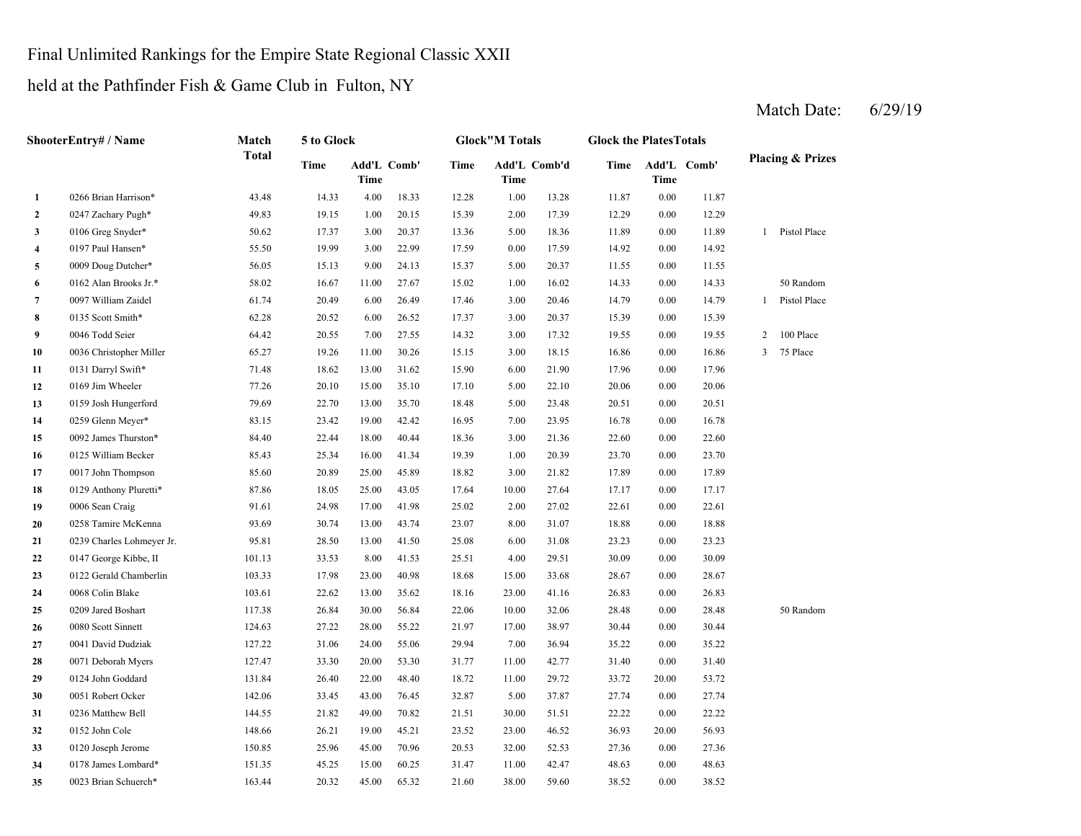### Final Unlimited Rankings for the Empire State Regional Classic XXII

held at the Pathfinder Fish & Game Club in Fulton, NY

**2** 2.00 12.29 0247 Zachary Pugh\* 49.83 19.15 1.00 20.15 15.39 17.39 0.00 12.29 **3**0106 Greg Snyder\* 50.62 17.37 3.00 20.37 13.36 5.00 18.36 11.89 **4**0.00 17.59 14.92 **5** 5.00 11.55 0009 Doug Dutcher\* 56.05 15.13 9.00 24.13 15.37 20.37 0.00 11.55 **6**0162 Alan Brooks Jr.\* 58.02 16.67 11.00 27.67 15.02 1.00 16.02 14.33 **7**0097 William Zaidel 61.74 20.49 6.00 26.49 17.46 3.00 20.46 14.79 **8**0135 Scott Smith\* 62.28 6.28 20.52 6.00 26.52 17.37 3.00 20.37 15.39 **9**0046 Todd Seier 64.42 20.55 7.00 27.55 14.32 3.00 17.32 19.55 **10** 3.00 16.86 0036 Christopher Miller 65.27 19.26 11.00 30.26 15.15 18.15 0.00 16.86 3 75 Place **11** 6.00 17.96 0131 Darryl Swift\* 71.48 18.62 13.00 31.62 15.90 21.90 0.00 17.96 **12** 5.00 20.06 0169 Jim Wheeler 77.26 20.10 15.00 35.10 17.10 22.10 0.00 20.06 **13** 5.00 20.51 0159 Josh Hungerford 79.69 22.70 13.00 35.70 18.48 23.48 0.00 20.51 **14**0259 Glenn Meyer\* 83.15 23.42 19.00 42.42 16.95 7.00 23.95 16.78 **15** 3.00 22.60 0092 James Thurston\* 84.40 22.44 18.00 40.44 18.36 21.36 0.00 22.60 **16** 1.00 23.70 0125 William Becker 85.43 25.34 16.00 41.34 19.39 20.39 0.00 23.70 **17** 3.00 17.89 0017 John Thompson 85.60 20.89 25.00 45.89 18.82 21.82 0.00 17.89 **18** 10.00 17.17 0129 Anthony Pluretti\* 87.86 18.05 25.00 43.05 17.64 27.64 0.00 17.17 **19**0006 Sean Craig 22.61 91.61 24.98 17.00 41.98 25.02 2.00 27.02 22.61 **20** 8.00 18.88 0258 Tamire McKenna 93.69 30.74 13.00 43.74 23.07 31.07 0.00 18.88 **21** 6.00 23.23 0239 Charles Lohmeyer Jr. 95.81 28.50 13.00 41.50 25.08 31.08 0.00 23.23 **22**2 0147 George Kibbe, II 101.13 33.53 8.00 41.53 25.51 4.00 29.51 30.09 0.00 30.09 **23**3 0122 Gerald Chamberlin 103.33 17.98 23.00 40.98 18.68 15.00 33.68 28.67 0.00 28.67 **24**4 0068 Colin Blake 26.83 2006 2010 103.61 22.62 13.00 35.62 18.16 23.00 41.16 26.83 **25**0209 Jared Boshart 117.38 26.84 30.00 56.84 22.06 10.00 32.06 28.48 **26**0080 Scott Sinnett 124.63 27.22 28.00 55.22 21.97 17.00 38.97 30.44 **27** 7.00 35.22 0041 David Dudziak 127.22 31.06 24.00 55.06 29.94 36.94 0.00 35.22 **28** 11.00 31.40 0071 Deborah Myers 127.47 33.30 20.00 53.30 31.77 42.77 0.00 31.40 **29** 11.00 33.72 0124 John Goddard 131.84 26.40 22.00 48.40 18.72 29.72 20.00 53.72 **30** 5.00 27.74 0051 Robert Ocker 142.06 33.45 43.00 76.45 32.87 37.87 0.00 27.74 **31** 30.00 22.22 0236 Matthew Bell 144.55 21.82 49.00 70.82 21.51 51.51 0.00 22.22 **32**2 0152 John Cole 148.66 26.21 19.00 45.21 23.52 23.00 46.52 36.93 **33**3 0120 Joseph Jerome 150.85 25.96 45.00 70.96 20.53 32.00 52.53 27.36 **34** 11.00 48.63 0178 James Lombard\* 151.35 45.25 15.00 60.25 **35** 38.00 38.52 0023 Brian Schuerch\* 163.44**ShooterEntry# / Name Match Total 5 to Glock Glock"M Totals Glock the PlatesTotals Placing & Prizes Time Add'L Time Comb' Time Add'L Comb'd Time Add'L Time Time Comb' 1**0266 Brian Harrison\* **43.48** 14.33 4.00 18.33 12.28 1.00 13.28 11.87 0.00 11.87 0106 Greg Snyder\* 50.62 17.37 3.00 20.37 13.36 18.36 0.00 11.89 1 Pistol Place 0197 Paul Hansen\* 55.50 19.99 3.00 22.99 17.59 17.59 0.00 14.92 0162 Alan Brooks Jr.\* 58.02 16.67 11.00 27.67 15.02 16.02 0.00 14.33 50 Random 0097 William Zaidel 61.74 20.49 6.00 26.49 17.46 20.46 0.00 14.79 1 Pistol Place 0135 Scott Smith\* 62.28 20.52 6.00 26.52 17.37 3.00 20.37 15.39 0.00 15.39 0046 Todd Seier 64.42 20.55 7.00 27.55 14.32 17.32 0.00 19.55 2 100 Place 0259 Glenn Meyer\* 83.15 23.42 19.00 42.42 16.95 23.95 0.00 16.78 0006 Sean Craig 91.61 24.98 17.00 41.98 25.02 27.02 0.00 22.61 0068 Colin Blake 103.61 22.62 13.00 35.62 18.16 23.00 41.16 26.83 0.00 26.83 0209 Jared Boshart 117.38 26.84 30.00 56.84 22.06 32.06 0.00 28.48 50 Random 0080 Scott Sinnett 124.63 27.22 28.00 55.22 21.97 38.97 0.00 30.44 31.47 42.47 0.00 48.63 20.00 56.93 52.53 0.00 20.32 45.00 65.32 21.60 27.36 4 20.32 45.00 65.32 21.60 38.00 59.60 38.52 0.00 38.52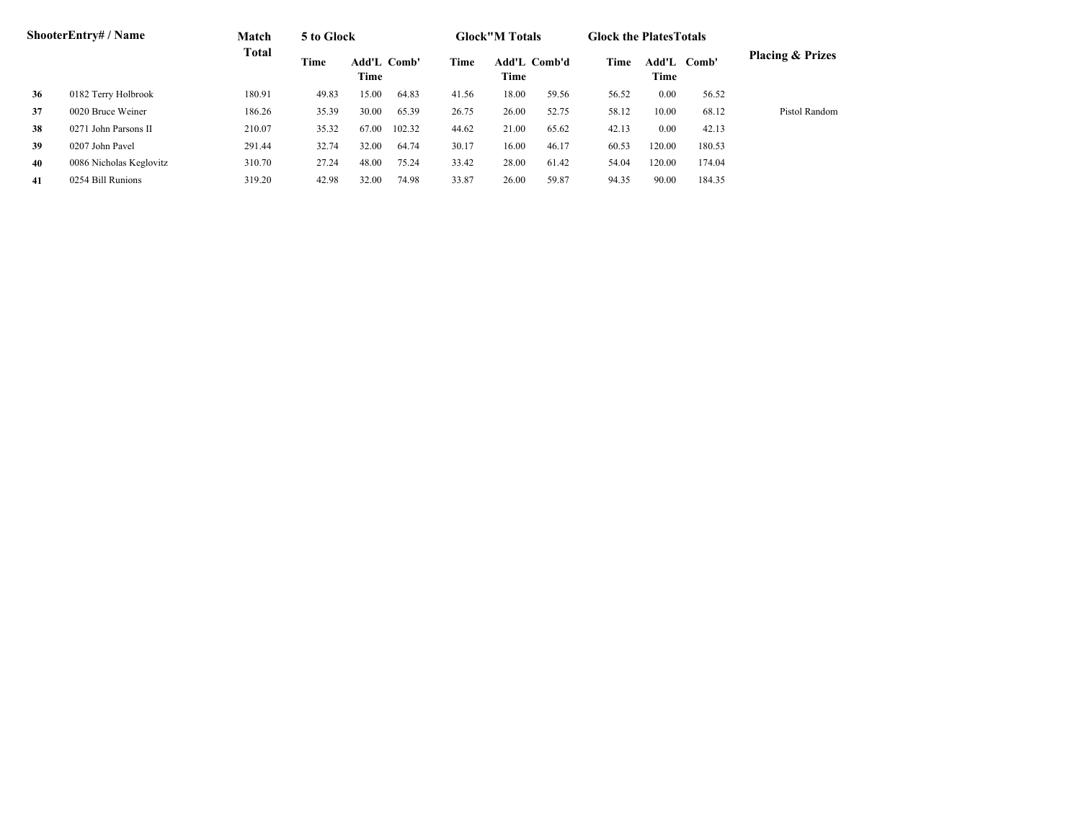| <b>ShooterEntry#/Name</b> |                         | Match        | 5 to Glock |                     |        | <b>Glock</b> "M Totals |                      |       | <b>Glock the PlatesTotals</b> |               |        |                             |
|---------------------------|-------------------------|--------------|------------|---------------------|--------|------------------------|----------------------|-------|-------------------------------|---------------|--------|-----------------------------|
|                           |                         | <b>Total</b> | Time       | Add'L Comb'<br>Time |        | Time                   | Add'L Comb'd<br>Time |       | Time                          | Add'L<br>Time | Comb'  | <b>Placing &amp; Prizes</b> |
| 36                        | 0182 Terry Holbrook     | 180.91       | 49.83      | 15.00               | 64.83  | 41.56                  | 18.00                | 59.56 | 56.52                         | 0.00          | 56.52  |                             |
| 37                        | 0020 Bruce Weiner       | 186.26       | 35.39      | 30.00               | 65.39  | 26.75                  | 26.00                | 52.75 | 58.12                         | 10.00         | 68.12  | Pistol Random               |
| 38                        | 0271 John Parsons II    | 210.07       | 35.32      | 67.00               | 102.32 | 44.62                  | 21.00                | 65.62 | 42.13                         | 0.00          | 42.13  |                             |
| 39                        | 0207 John Pavel         | 291.44       | 32.74      | 32.00               | 64.74  | 30.17                  | 16.00                | 46.17 | 60.53                         | 120.00        | 180.53 |                             |
| 40                        | 0086 Nicholas Keglovitz | 310.70       | 27.24      | 48.00               | 75.24  | 33.42                  | 28.00                | 61.42 | 54.04                         | 120.00        | 174.04 |                             |
| 41                        | 0254 Bill Runions       | 319.20       | 42.98      | 32.00               | 74.98  | 33.87                  | 26.00                | 59.87 | 94.35                         | 90.00         | 184.35 |                             |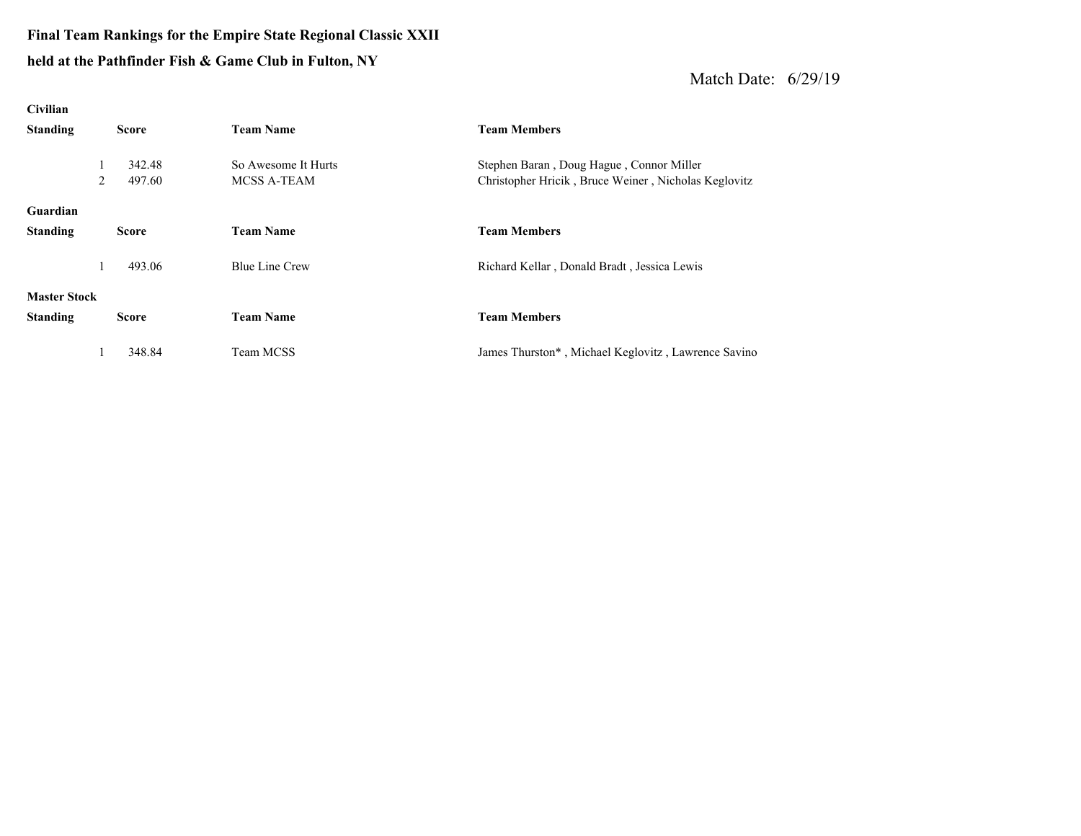### **Final Team Rankings for the Empire State Regional Classic XXII held at the Pathfinder Fish & Game Club in Fulton, NY**

| Civilian            |   |              |                       |                                                      |  |  |  |  |  |
|---------------------|---|--------------|-----------------------|------------------------------------------------------|--|--|--|--|--|
| <b>Standing</b>     |   | <b>Score</b> | <b>Team Name</b>      | <b>Team Members</b>                                  |  |  |  |  |  |
|                     |   |              |                       |                                                      |  |  |  |  |  |
|                     |   | 342.48       | So Awesome It Hurts   | Stephen Baran, Doug Hague, Connor Miller             |  |  |  |  |  |
|                     | 2 | 497.60       | <b>MCSS A-TEAM</b>    | Christopher Hricik, Bruce Weiner, Nicholas Keglovitz |  |  |  |  |  |
|                     |   |              |                       |                                                      |  |  |  |  |  |
| Guardian            |   |              |                       |                                                      |  |  |  |  |  |
| <b>Standing</b>     |   | <b>Score</b> | <b>Team Name</b>      | <b>Team Members</b>                                  |  |  |  |  |  |
|                     |   |              |                       |                                                      |  |  |  |  |  |
|                     |   | 493.06       | <b>Blue Line Crew</b> | Richard Kellar, Donald Bradt, Jessica Lewis          |  |  |  |  |  |
|                     |   |              |                       |                                                      |  |  |  |  |  |
| <b>Master Stock</b> |   |              |                       |                                                      |  |  |  |  |  |
| <b>Standing</b>     |   | <b>Score</b> | <b>Team Name</b>      | <b>Team Members</b>                                  |  |  |  |  |  |
|                     |   |              |                       |                                                      |  |  |  |  |  |
|                     |   | 348.84       | Team MCSS             | James Thurston*, Michael Keglovitz, Lawrence Savino  |  |  |  |  |  |
|                     |   |              |                       |                                                      |  |  |  |  |  |